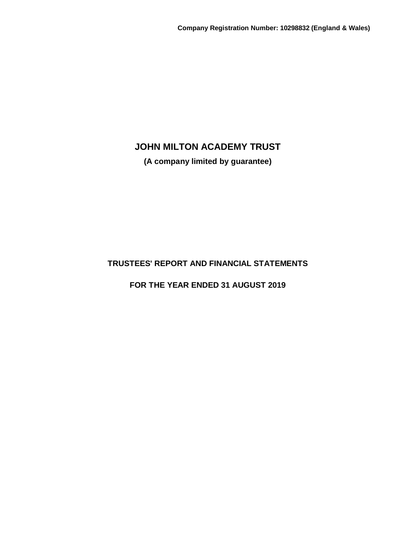**(A company limited by guarantee)**

# **TRUSTEES' REPORT AND FINANCIAL STATEMENTS**

**FOR THE YEAR ENDED 31 AUGUST 2019**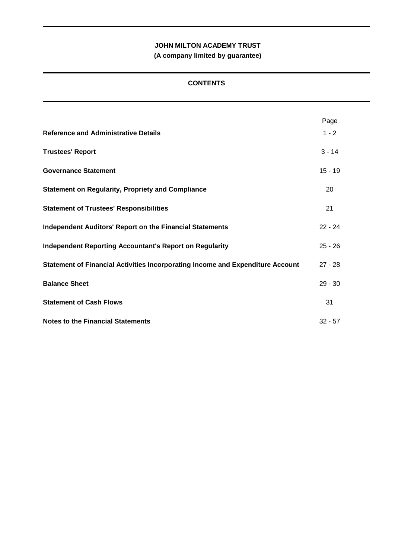**(A company limited by guarantee)**

## **CONTENTS**

|                                                                                | Page      |
|--------------------------------------------------------------------------------|-----------|
| <b>Reference and Administrative Details</b>                                    | $1 - 2$   |
| <b>Trustees' Report</b>                                                        | $3 - 14$  |
| <b>Governance Statement</b>                                                    | $15 - 19$ |
| <b>Statement on Regularity, Propriety and Compliance</b>                       | 20        |
| <b>Statement of Trustees' Responsibilities</b>                                 | 21        |
| <b>Independent Auditors' Report on the Financial Statements</b>                | $22 - 24$ |
| <b>Independent Reporting Accountant's Report on Regularity</b>                 | $25 - 26$ |
| Statement of Financial Activities Incorporating Income and Expenditure Account | $27 - 28$ |
| <b>Balance Sheet</b>                                                           | $29 - 30$ |
| <b>Statement of Cash Flows</b>                                                 | 31        |
| <b>Notes to the Financial Statements</b>                                       | $32 - 57$ |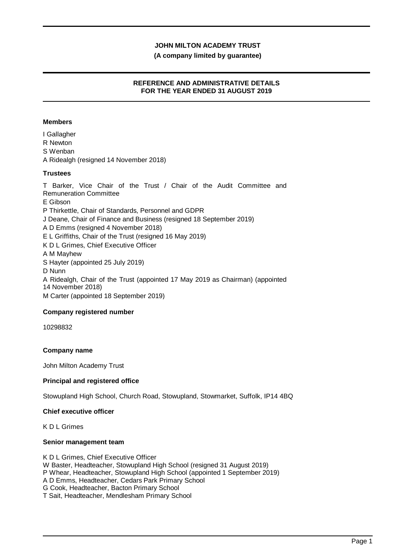### **(A company limited by guarantee)**

## **REFERENCE AND ADMINISTRATIVE DETAILS FOR THE YEAR ENDED 31 AUGUST 2019**

### **Members**

I Gallagher R Newton S Wenban A Ridealgh (resigned 14 November 2018)

## **Trustees**

T Barker, Vice Chair of the Trust / Chair of the Audit Committee and Remuneration Committee E Gibson P Thirkettle, Chair of Standards, Personnel and GDPR J Deane, Chair of Finance and Business (resigned 18 September 2019) A D Emms (resigned 4 November 2018) E L Griffiths, Chair of the Trust (resigned 16 May 2019) K D L Grimes, Chief Executive Officer A M Mayhew S Hayter (appointed 25 July 2019) D Nunn A Ridealgh, Chair of the Trust (appointed 17 May 2019 as Chairman) (appointed 14 November 2018) M Carter (appointed 18 September 2019)

## **Company registered number**

10298832

## **Company name**

John Milton Academy Trust

## **Principal and registered office**

Stowupland High School, Church Road, Stowupland, Stowmarket, Suffolk, IP14 4BQ

#### **Chief executive officer**

K D L Grimes

#### **Senior management team**

K D L Grimes, Chief Executive Officer W Baster, Headteacher, Stowupland High School (resigned 31 August 2019) P Whear, Headteacher, Stowupland High School (appointed 1 September 2019) A D Emms, Headteacher, Cedars Park Primary School G Cook, Headteacher, Bacton Primary School T Sait, Headteacher, Mendlesham Primary School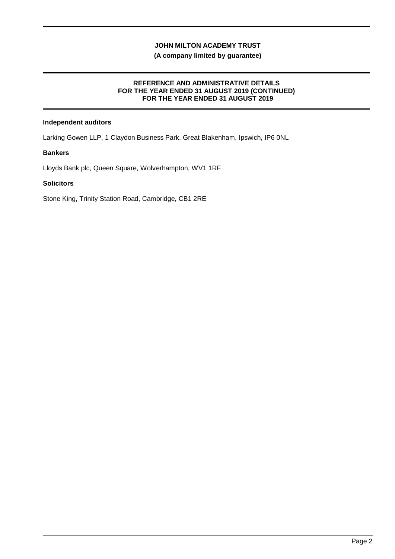## **(A company limited by guarantee)**

## **REFERENCE AND ADMINISTRATIVE DETAILS FOR THE YEAR ENDED 31 AUGUST 2019 (CONTINUED) FOR THE YEAR ENDED 31 AUGUST 2019**

## **Independent auditors**

Larking Gowen LLP, 1 Claydon Business Park, Great Blakenham, Ipswich, IP6 0NL

## **Bankers**

Lloyds Bank plc, Queen Square, Wolverhampton, WV1 1RF

## **Solicitors**

Stone King, Trinity Station Road, Cambridge, CB1 2RE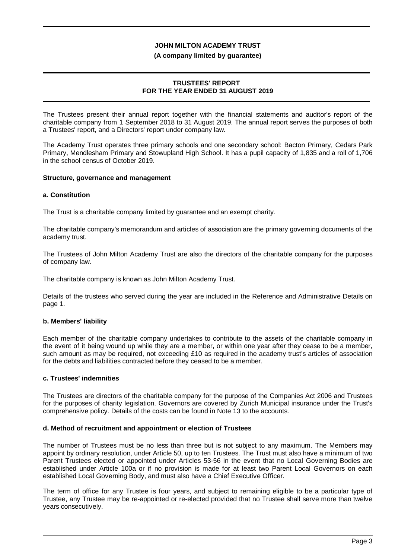#### **(A company limited by guarantee)**

## **TRUSTEES' REPORT FOR THE YEAR ENDED 31 AUGUST 2019**

The Trustees present their annual report together with the financial statements and auditor's report of the charitable company from 1 September 2018 to 31 August 2019. The annual report serves the purposes of both a Trustees' report, and a Directors' report under company law.

The Academy Trust operates three primary schools and one secondary school: Bacton Primary, Cedars Park Primary, Mendlesham Primary and Stowupland High School. It has a pupil capacity of 1,835 and a roll of 1,706 in the school census of October 2019.

#### **Structure, governance and management**

#### **a. Constitution**

The Trust is a charitable company limited by guarantee and an exempt charity.

The charitable company's memorandum and articles of association are the primary governing documents of the academy trust.

The Trustees of John Milton Academy Trust are also the directors of the charitable company for the purposes of company law.

The charitable company is known as John Milton Academy Trust.

Details of the trustees who served during the year are included in the Reference and Administrative Details on page 1.

## **b. Members' liability**

Each member of the charitable company undertakes to contribute to the assets of the charitable company in the event of it being wound up while they are a member, or within one year after they cease to be a member, such amount as may be required, not exceeding £10 as required in the academy trust's articles of association for the debts and liabilities contracted before they ceased to be a member.

#### **c. Trustees' indemnities**

The Trustees are directors of the charitable company for the purpose of the Companies Act 2006 and Trustees for the purposes of charity legislation. Governors are covered by Zurich Municipal insurance under the Trust's comprehensive policy. Details of the costs can be found in Note 13 to the accounts.

#### **d. Method of recruitment and appointment or election of Trustees**

The number of Trustees must be no less than three but is not subject to any maximum. The Members may appoint by ordinary resolution, under Article 50, up to ten Trustees. The Trust must also have a minimum of two Parent Trustees elected or appointed under Articles 53-56 in the event that no Local Governing Bodies are established under Article 100a or if no provision is made for at least two Parent Local Governors on each established Local Governing Body, and must also have a Chief Executive Officer.

The term of office for any Trustee is four years, and subject to remaining eligible to be a particular type of Trustee, any Trustee may be re-appointed or re-elected provided that no Trustee shall serve more than twelve years consecutively.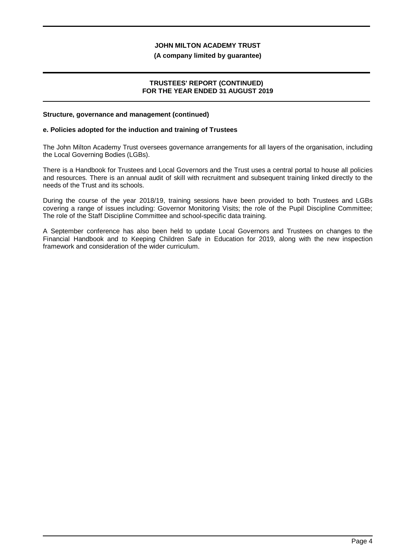#### **(A company limited by guarantee)**

### **TRUSTEES' REPORT (CONTINUED) FOR THE YEAR ENDED 31 AUGUST 2019**

#### **Structure, governance and management (continued)**

#### **e. Policies adopted for the induction and training of Trustees**

The John Milton Academy Trust oversees governance arrangements for all layers of the organisation, including the Local Governing Bodies (LGBs).

There is a Handbook for Trustees and Local Governors and the Trust uses a central portal to house all policies and resources. There is an annual audit of skill with recruitment and subsequent training linked directly to the needs of the Trust and its schools.

During the course of the year 2018/19, training sessions have been provided to both Trustees and LGBs covering a range of issues including: Governor Monitoring Visits; the role of the Pupil Discipline Committee; The role of the Staff Discipline Committee and school-specific data training.

A September conference has also been held to update Local Governors and Trustees on changes to the Financial Handbook and to Keeping Children Safe in Education for 2019, along with the new inspection framework and consideration of the wider curriculum.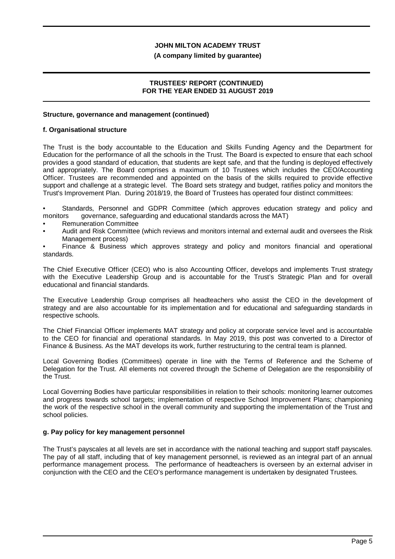#### **(A company limited by guarantee)**

## **TRUSTEES' REPORT (CONTINUED) FOR THE YEAR ENDED 31 AUGUST 2019**

#### **Structure, governance and management (continued)**

#### **f. Organisational structure**

The Trust is the body accountable to the Education and Skills Funding Agency and the Department for Education for the performance of all the schools in the Trust. The Board is expected to ensure that each school provides a good standard of education, that students are kept safe, and that the funding is deployed effectively and appropriately. The Board comprises a maximum of 10 Trustees which includes the CEO/Accounting Officer. Trustees are recommended and appointed on the basis of the skills required to provide effective support and challenge at a strategic level. The Board sets strategy and budget, ratifies policy and monitors the Trust's Improvement Plan. During 2018/19, the Board of Trustees has operated four distinct committees:

• Standards, Personnel and GDPR Committee (which approves education strategy and policy and monitors governance, safeguarding and educational standards across the MAT)

- Remuneration Committee
- Audit and Risk Committee (which reviews and monitors internal and external audit and oversees the Risk Management process)

• Finance & Business which approves strategy and policy and monitors financial and operational standards.

The Chief Executive Officer (CEO) who is also Accounting Officer, develops and implements Trust strategy with the Executive Leadership Group and is accountable for the Trust's Strategic Plan and for overall educational and financial standards.

The Executive Leadership Group comprises all headteachers who assist the CEO in the development of strategy and are also accountable for its implementation and for educational and safeguarding standards in respective schools.

The Chief Financial Officer implements MAT strategy and policy at corporate service level and is accountable to the CEO for financial and operational standards. In May 2019, this post was converted to a Director of Finance & Business. As the MAT develops its work, further restructuring to the central team is planned.

Local Governing Bodies (Committees) operate in line with the Terms of Reference and the Scheme of Delegation for the Trust. All elements not covered through the Scheme of Delegation are the responsibility of the Trust.

Local Governing Bodies have particular responsibilities in relation to their schools: monitoring learner outcomes and progress towards school targets; implementation of respective School Improvement Plans; championing the work of the respective school in the overall community and supporting the implementation of the Trust and school policies.

## **g. Pay policy for key management personnel**

The Trust's payscales at all levels are set in accordance with the national teaching and support staff payscales. The pay of all staff, including that of key management personnel, is reviewed as an integral part of an annual performance management process. The performance of headteachers is overseen by an external adviser in conjunction with the CEO and the CEO's performance management is undertaken by designated Trustees.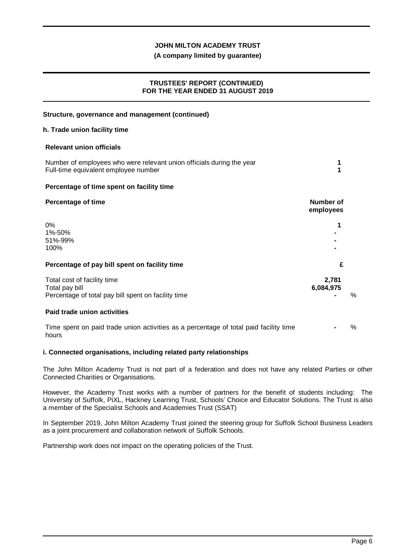## **(A company limited by guarantee)**

## **TRUSTEES' REPORT (CONTINUED) FOR THE YEAR ENDED 31 AUGUST 2019**

| Structure, governance and management (continued)                                                              |                               |   |
|---------------------------------------------------------------------------------------------------------------|-------------------------------|---|
| h. Trade union facility time                                                                                  |                               |   |
| <b>Relevant union officials</b>                                                                               |                               |   |
| Number of employees who were relevant union officials during the year<br>Full-time equivalent employee number | 1<br>1                        |   |
| Percentage of time spent on facility time                                                                     |                               |   |
| <b>Percentage of time</b>                                                                                     | <b>Number of</b><br>employees |   |
| 0%<br>1%-50%<br>51%-99%<br>100%                                                                               |                               |   |
| Percentage of pay bill spent on facility time                                                                 | £                             |   |
| Total cost of facility time<br>Total pay bill<br>Percentage of total pay bill spent on facility time          | 2,781<br>6,084,975            | % |
| Paid trade union activities                                                                                   |                               |   |
| Time spent on paid trade union activities as a percentage of total paid facility time<br>hours                |                               | % |

## **i. Connected organisations, including related party relationships**

The John Milton Academy Trust is not part of a federation and does not have any related Parties or other Connected Charities or Organisations.

However, the Academy Trust works with a number of partners for the benefit of students including: The University of Suffolk, PiXL, Hackney Learning Trust, Schools' Choice and Educator Solutions. The Trust is also a member of the Specialist Schools and Academies Trust (SSAT)

In September 2019, John Milton Academy Trust joined the steering group for Suffolk School Business Leaders as a joint procurement and collaboration network of Suffolk Schools.

Partnership work does not impact on the operating policies of the Trust.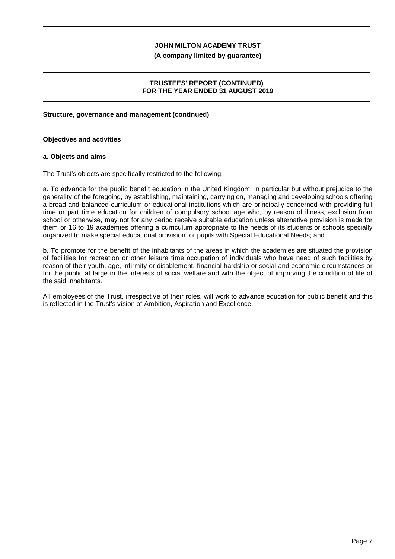#### **(A company limited by guarantee)**

## **TRUSTEES' REPORT (CONTINUED) FOR THE YEAR ENDED 31 AUGUST 2019**

#### **Structure, governance and management (continued)**

#### **Objectives and activities**

#### **a. Objects and aims**

The Trust's objects are specifically restricted to the following:

a. To advance for the public benefit education in the United Kingdom, in particular but without prejudice to the generality of the foregoing, by establishing, maintaining, carrying on, managing and developing schools offering a broad and balanced curriculum or educational institutions which are principally concerned with providing full time or part time education for children of compulsory school age who, by reason of illness, exclusion from school or otherwise, may not for any period receive suitable education unless alternative provision is made for them or 16 to 19 academies offering a curriculum appropriate to the needs of its students or schools specially organized to make special educational provision for pupils with Special Educational Needs; and

b. To promote for the benefit of the inhabitants of the areas in which the academies are situated the provision of facilities for recreation or other leisure time occupation of individuals who have need of such facilities by reason of their youth, age, infirmity or disablement, financial hardship or social and economic circumstances or for the public at large in the interests of social welfare and with the object of improving the condition of life of the said inhabitants.

All employees of the Trust, irrespective of their roles, will work to advance education for public benefit and this is reflected in the Trust's vision of Ambition, Aspiration and Excellence.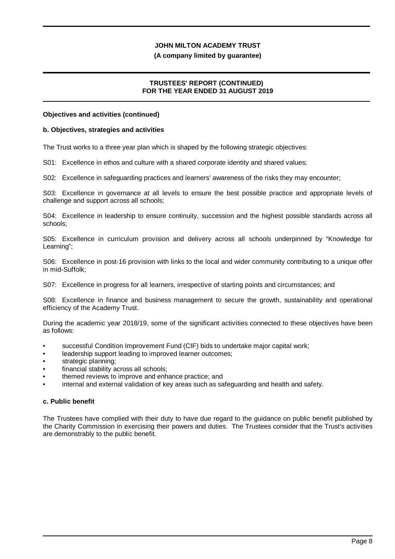#### **(A company limited by guarantee)**

## **TRUSTEES' REPORT (CONTINUED) FOR THE YEAR ENDED 31 AUGUST 2019**

#### **Objectives and activities (continued)**

#### **b. Objectives, strategies and activities**

The Trust works to a three year plan which is shaped by the following strategic objectives:

S01: Excellence in ethos and culture with a shared corporate identity and shared values;

S02: Excellence in safeguarding practices and learners' awareness of the risks they may encounter;

S03: Excellence in governance at all levels to ensure the best possible practice and appropriate levels of challenge and support across all schools;

S04: Excellence in leadership to ensure continuity, succession and the highest possible standards across all schools;

S05: Excellence in curriculum provision and delivery across all schools underpinned by "Knowledge for Learning";

S06: Excellence in post-16 provision with links to the local and wider community contributing to a unique offer in mid-Suffolk;

S07: Excellence in progress for all learners, irrespective of starting points and circumstances; and

S08: Excellence in finance and business management to secure the growth, sustainability and operational efficiency of the Academy Trust.

During the academic year 2018/19, some of the significant activities connected to these objectives have been as follows:

- successful Condition Improvement Fund (CIF) bids to undertake major capital work;
- leadership support leading to improved learner outcomes;
- strategic planning:
- financial stability across all schools;
- themed reviews to improve and enhance practice; and
- internal and external validation of key areas such as safeguarding and health and safety.

## **c. Public benefit**

The Trustees have complied with their duty to have due regard to the guidance on public benefit published by the Charity Commission in exercising their powers and duties. The Trustees consider that the Trust's activities are demonstrably to the public benefit.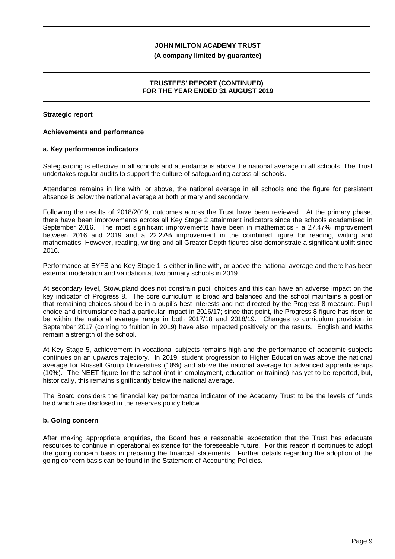#### **(A company limited by guarantee)**

## **TRUSTEES' REPORT (CONTINUED) FOR THE YEAR ENDED 31 AUGUST 2019**

#### **Strategic report**

#### **Achievements and performance**

#### **a. Key performance indicators**

Safeguarding is effective in all schools and attendance is above the national average in all schools. The Trust undertakes regular audits to support the culture of safeguarding across all schools.

Attendance remains in line with, or above, the national average in all schools and the figure for persistent absence is below the national average at both primary and secondary.

Following the results of 2018/2019, outcomes across the Trust have been reviewed. At the primary phase, there have been improvements across all Key Stage 2 attainment indicators since the schools academised in September 2016. The most significant improvements have been in mathematics - a 27.47% improvement between 2016 and 2019 and a 22.27% improvement in the combined figure for reading, writing and mathematics. However, reading, writing and all Greater Depth figures also demonstrate a significant uplift since 2016.

Performance at EYFS and Key Stage 1 is either in line with, or above the national average and there has been external moderation and validation at two primary schools in 2019.

At secondary level, Stowupland does not constrain pupil choices and this can have an adverse impact on the key indicator of Progress 8. The core curriculum is broad and balanced and the school maintains a position that remaining choices should be in a pupil's best interests and not directed by the Progress 8 measure. Pupil choice and circumstance had a particular impact in 2016/17; since that point, the Progress 8 figure has risen to be within the national average range in both 2017/18 and 2018/19. Changes to curriculum provision in September 2017 (coming to fruition in 2019) have also impacted positively on the results. English and Maths remain a strength of the school.

At Key Stage 5, achievement in vocational subjects remains high and the performance of academic subjects continues on an upwards trajectory. In 2019, student progression to Higher Education was above the national average for Russell Group Universities (18%) and above the national average for advanced apprenticeships (10%). The NEET figure for the school (not in employment, education or training) has yet to be reported, but, historically, this remains significantly below the national average.

The Board considers the financial key performance indicator of the Academy Trust to be the levels of funds held which are disclosed in the reserves policy below.

#### **b. Going concern**

After making appropriate enquiries, the Board has a reasonable expectation that the Trust has adequate resources to continue in operational existence for the foreseeable future. For this reason it continues to adopt the going concern basis in preparing the financial statements. Further details regarding the adoption of the going concern basis can be found in the Statement of Accounting Policies.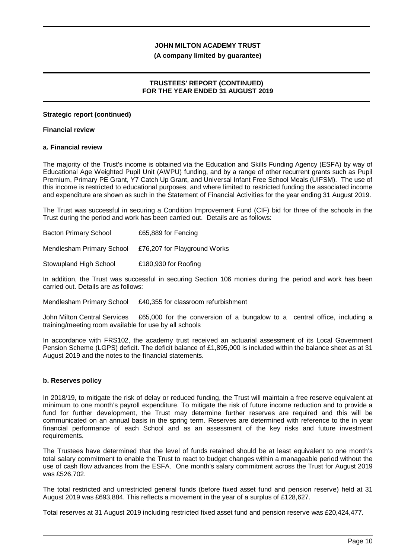#### **(A company limited by guarantee)**

## **TRUSTEES' REPORT (CONTINUED) FOR THE YEAR ENDED 31 AUGUST 2019**

#### **Strategic report (continued)**

#### **Financial review**

#### **a. Financial review**

The majority of the Trust's income is obtained via the Education and Skills Funding Agency (ESFA) by way of Educational Age Weighted Pupil Unit (AWPU) funding, and by a range of other recurrent grants such as Pupil Premium, Primary PE Grant, Y7 Catch Up Grant, and Universal Infant Free School Meals (UIFSM). The use of this income is restricted to educational purposes, and where limited to restricted funding the associated income and expenditure are shown as such in the Statement of Financial Activities for the year ending 31 August 2019.

The Trust was successful in securing a Condition Improvement Fund (CIF) bid for three of the schools in the Trust during the period and work has been carried out. Details are as follows:

| <b>Bacton Primary School</b> | £65,889 for Fencing          |
|------------------------------|------------------------------|
| Mendlesham Primary School    | £76,207 for Playground Works |
| Stowupland High School       | £180,930 for Roofing         |

In addition, the Trust was successful in securing Section 106 monies during the period and work has been carried out. Details are as follows:

Mendlesham Primary School £40,355 for classroom refurbishment

John Milton Central Services £65,000 for the conversion of a bungalow to a central office, including a training/meeting room available for use by all schools

In accordance with FRS102, the academy trust received an actuarial assessment of its Local Government Pension Scheme (LGPS) deficit. The deficit balance of £1,895,000 is included within the balance sheet as at 31 August 2019 and the notes to the financial statements.

## **b. Reserves policy**

In 2018/19, to mitigate the risk of delay or reduced funding, the Trust will maintain a free reserve equivalent at minimum to one month's payroll expenditure. To mitigate the risk of future income reduction and to provide a fund for further development, the Trust may determine further reserves are required and this will be communicated on an annual basis in the spring term. Reserves are determined with reference to the in year financial performance of each School and as an assessment of the key risks and future investment requirements.

The Trustees have determined that the level of funds retained should be at least equivalent to one month's total salary commitment to enable the Trust to react to budget changes within a manageable period without the use of cash flow advances from the ESFA. One month's salary commitment across the Trust for August 2019 was £526,702.

The total restricted and unrestricted general funds (before fixed asset fund and pension reserve) held at 31 August 2019 was £693,884. This reflects a movement in the year of a surplus of £128,627.

Total reserves at 31 August 2019 including restricted fixed asset fund and pension reserve was £20,424,477.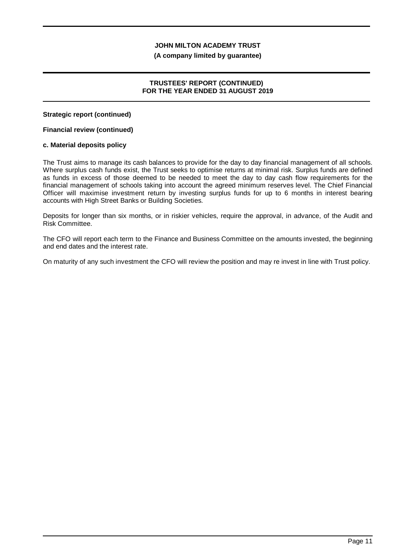#### **(A company limited by guarantee)**

## **TRUSTEES' REPORT (CONTINUED) FOR THE YEAR ENDED 31 AUGUST 2019**

**Strategic report (continued)**

### **Financial review (continued)**

#### **c. Material deposits policy**

The Trust aims to manage its cash balances to provide for the day to day financial management of all schools. Where surplus cash funds exist, the Trust seeks to optimise returns at minimal risk. Surplus funds are defined as funds in excess of those deemed to be needed to meet the day to day cash flow requirements for the financial management of schools taking into account the agreed minimum reserves level. The Chief Financial Officer will maximise investment return by investing surplus funds for up to 6 months in interest bearing accounts with High Street Banks or Building Societies.

Deposits for longer than six months, or in riskier vehicles, require the approval, in advance, of the Audit and Risk Committee.

The CFO will report each term to the Finance and Business Committee on the amounts invested, the beginning and end dates and the interest rate.

On maturity of any such investment the CFO will review the position and may re invest in line with Trust policy.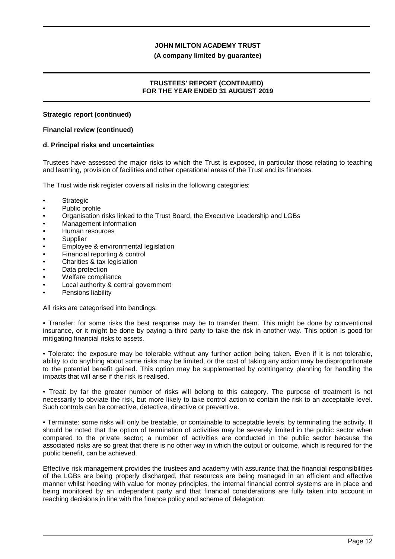#### **(A company limited by guarantee)**

## **TRUSTEES' REPORT (CONTINUED) FOR THE YEAR ENDED 31 AUGUST 2019**

#### **Strategic report (continued)**

### **Financial review (continued)**

#### **d. Principal risks and uncertainties**

Trustees have assessed the major risks to which the Trust is exposed, in particular those relating to teaching and learning, provision of facilities and other operational areas of the Trust and its finances.

The Trust wide risk register covers all risks in the following categories:

- Strategic
- Public profile
- Organisation risks linked to the Trust Board, the Executive Leadership and LGBs
- Management information
- Human resources
- **Supplier**
- Employee & environmental legislation
- Financial reporting & control
- Charities & tax legislation
- Data protection
- Welfare compliance
- Local authority & central government
- Pensions liability

All risks are categorised into bandings:

• Transfer: for some risks the best response may be to transfer them. This might be done by conventional insurance, or it might be done by paying a third party to take the risk in another way. This option is good for mitigating financial risks to assets.

• Tolerate: the exposure may be tolerable without any further action being taken. Even if it is not tolerable, ability to do anything about some risks may be limited, or the cost of taking any action may be disproportionate to the potential benefit gained. This option may be supplemented by contingency planning for handling the impacts that will arise if the risk is realised.

• Treat: by far the greater number of risks will belong to this category. The purpose of treatment is not necessarily to obviate the risk, but more likely to take control action to contain the risk to an acceptable level. Such controls can be corrective, detective, directive or preventive.

• Terminate: some risks will only be treatable, or containable to acceptable levels, by terminating the activity. It should be noted that the option of termination of activities may be severely limited in the public sector when compared to the private sector; a number of activities are conducted in the public sector because the associated risks are so great that there is no other way in which the output or outcome, which is required for the public benefit, can be achieved.

Effective risk management provides the trustees and academy with assurance that the financial responsibilities of the LGBs are being properly discharged, that resources are being managed in an efficient and effective manner whilst heeding with value for money principles, the internal financial control systems are in place and being monitored by an independent party and that financial considerations are fully taken into account in reaching decisions in line with the finance policy and scheme of delegation.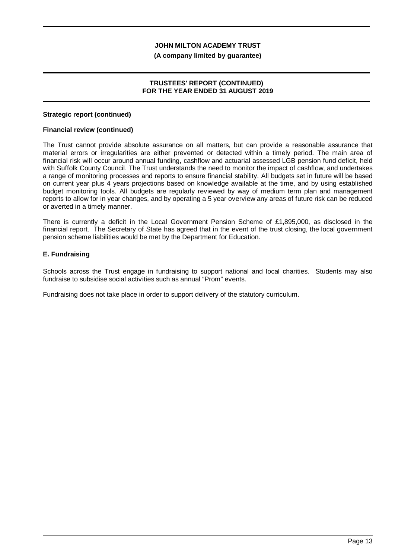#### **(A company limited by guarantee)**

## **TRUSTEES' REPORT (CONTINUED) FOR THE YEAR ENDED 31 AUGUST 2019**

#### **Strategic report (continued)**

### **Financial review (continued)**

The Trust cannot provide absolute assurance on all matters, but can provide a reasonable assurance that material errors or irregularities are either prevented or detected within a timely period. The main area of financial risk will occur around annual funding, cashflow and actuarial assessed LGB pension fund deficit, held with Suffolk County Council. The Trust understands the need to monitor the impact of cashflow, and undertakes a range of monitoring processes and reports to ensure financial stability. All budgets set in future will be based on current year plus 4 years projections based on knowledge available at the time, and by using established budget monitoring tools. All budgets are regularly reviewed by way of medium term plan and management reports to allow for in year changes, and by operating a 5 year overview any areas of future risk can be reduced or averted in a timely manner.

There is currently a deficit in the Local Government Pension Scheme of £1,895,000, as disclosed in the financial report. The Secretary of State has agreed that in the event of the trust closing, the local government pension scheme liabilities would be met by the Department for Education.

## **E. Fundraising**

Schools across the Trust engage in fundraising to support national and local charities. Students may also fundraise to subsidise social activities such as annual "Prom" events.

Fundraising does not take place in order to support delivery of the statutory curriculum.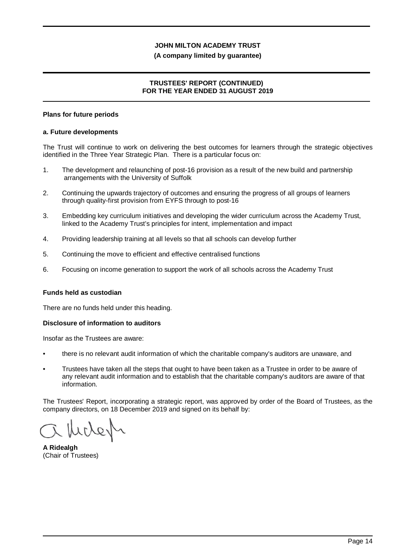### **(A company limited by guarantee)**

## **TRUSTEES' REPORT (CONTINUED) FOR THE YEAR ENDED 31 AUGUST 2019**

#### **Plans for future periods**

#### **a. Future developments**

The Trust will continue to work on delivering the best outcomes for learners through the strategic objectives identified in the Three Year Strategic Plan. There is a particular focus on:

- 1. The development and relaunching of post-16 provision as a result of the new build and partnership arrangements with the University of Suffolk
- 2. Continuing the upwards trajectory of outcomes and ensuring the progress of all groups of learners through quality-first provision from EYFS through to post-16
- 3. Embedding key curriculum initiatives and developing the wider curriculum across the Academy Trust, linked to the Academy Trust's principles for intent, implementation and impact
- 4. Providing leadership training at all levels so that all schools can develop further
- 5. Continuing the move to efficient and effective centralised functions
- 6. Focusing on income generation to support the work of all schools across the Academy Trust

#### **Funds held as custodian**

There are no funds held under this heading.

#### **Disclosure of information to auditors**

Insofar as the Trustees are aware:

- there is no relevant audit information of which the charitable company's auditors are unaware, and
- Trustees have taken all the steps that ought to have been taken as a Trustee in order to be aware of any relevant audit information and to establish that the charitable company's auditors are aware of that information.

The Trustees' Report, incorporating a strategic report, was approved by order of the Board of Trustees, as the company directors, on 18 December 2019 and signed on its behalf by:

**A Ridealgh** (Chair of Trustees)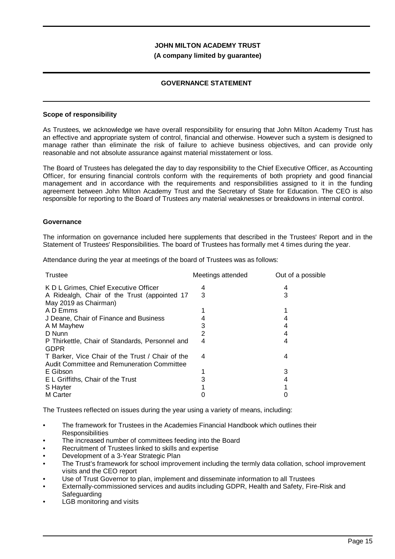### **(A company limited by guarantee)**

## **GOVERNANCE STATEMENT**

#### **Scope of responsibility**

As Trustees, we acknowledge we have overall responsibility for ensuring that John Milton Academy Trust has an effective and appropriate system of control, financial and otherwise. However such a system is designed to manage rather than eliminate the risk of failure to achieve business objectives, and can provide only reasonable and not absolute assurance against material misstatement or loss.

The Board of Trustees has delegated the day to day responsibility to the Chief Executive Officer, as Accounting Officer, for ensuring financial controls conform with the requirements of both propriety and good financial management and in accordance with the requirements and responsibilities assigned to it in the funding agreement between John Milton Academy Trust and the Secretary of State for Education. The CEO is also responsible for reporting to the Board of Trustees any material weaknesses or breakdowns in internal control.

#### **Governance**

The information on governance included here supplements that described in the Trustees' Report and in the Statement of Trustees' Responsibilities. The board of Trustees has formally met 4 times during the year.

Attendance during the year at meetings of the board of Trustees was as follows:

| Trustee                                                                                        | Meetings attended | Out of a possible |
|------------------------------------------------------------------------------------------------|-------------------|-------------------|
| K D L Grimes, Chief Executive Officer                                                          | 4                 | 4                 |
| A Ridealgh, Chair of the Trust (appointed 17<br>May 2019 as Chairman)                          | 3                 | 3                 |
| A D Emms                                                                                       |                   |                   |
| J Deane, Chair of Finance and Business                                                         |                   |                   |
| A M Mayhew                                                                                     |                   | 4                 |
| D Nunn                                                                                         | 2                 | 4                 |
| P Thirkettle, Chair of Standards, Personnel and<br><b>GDPR</b>                                 | 4                 | 4                 |
| T Barker, Vice Chair of the Trust / Chair of the<br>Audit Committee and Remuneration Committee | 4                 | 4                 |
| E Gibson                                                                                       |                   | 3                 |
| E L Griffiths, Chair of the Trust                                                              |                   | 4                 |
| S Hayter                                                                                       |                   |                   |
| M Carter                                                                                       |                   |                   |

The Trustees reflected on issues during the year using a variety of means, including:

- The framework for Trustees in the Academies Financial Handbook which outlines their **Responsibilities**
- The increased number of committees feeding into the Board
- Recruitment of Trustees linked to skills and expertise
- Development of a 3-Year Strategic Plan
- The Trust's framework for school improvement including the termly data collation, school improvement visits and the CEO report
- Use of Trust Governor to plan, implement and disseminate information to all Trustees
- Externally-commissioned services and audits including GDPR, Health and Safety, Fire-Risk and **Safeguarding**
- LGB monitoring and visits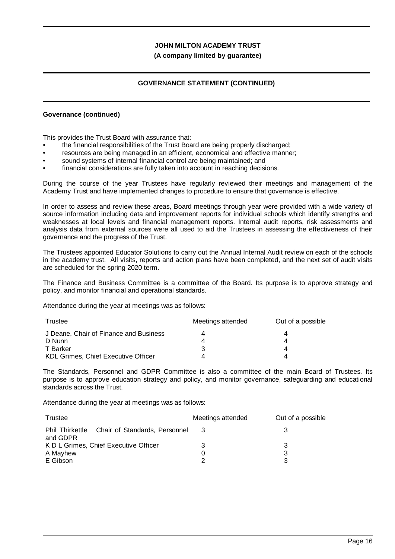### **(A company limited by guarantee)**

## **GOVERNANCE STATEMENT (CONTINUED)**

#### **Governance (continued)**

This provides the Trust Board with assurance that:

- the financial responsibilities of the Trust Board are being properly discharged;
- resources are being managed in an efficient, economical and effective manner;
- sound systems of internal financial control are being maintained; and
- financial considerations are fully taken into account in reaching decisions.

During the course of the year Trustees have regularly reviewed their meetings and management of the Academy Trust and have implemented changes to procedure to ensure that governance is effective.

In order to assess and review these areas, Board meetings through year were provided with a wide variety of source information including data and improvement reports for individual schools which identify strengths and weaknesses at local levels and financial management reports. Internal audit reports, risk assessments and analysis data from external sources were all used to aid the Trustees in assessing the effectiveness of their governance and the progress of the Trust.

The Trustees appointed Educator Solutions to carry out the Annual Internal Audit review on each of the schools in the academy trust. All visits, reports and action plans have been completed, and the next set of audit visits are scheduled for the spring 2020 term.

The Finance and Business Committee is a committee of the Board. Its purpose is to approve strategy and policy, and monitor financial and operational standards.

Attendance during the year at meetings was as follows:

| Trustee                                | Meetings attended | Out of a possible |
|----------------------------------------|-------------------|-------------------|
| J Deane, Chair of Finance and Business |                   |                   |
| D Nunn                                 |                   |                   |
| T Barker                               | 3                 | 4                 |
| KDL Grimes, Chief Executive Officer    | Δ                 |                   |

The Standards, Personnel and GDPR Committee is also a committee of the main Board of Trustees. Its purpose is to approve education strategy and policy, and monitor governance, safeguarding and educational standards across the Trust.

Attendance during the year at meetings was as follows:

| Trustee                                                   | Meetings attended | Out of a possible |
|-----------------------------------------------------------|-------------------|-------------------|
| Phil Thirkettle Chair of Standards, Personnel<br>and GDPR |                   |                   |
| K D L Grimes, Chief Executive Officer                     | 3                 | З                 |
| A Mayhew                                                  |                   | 3                 |
| E Gibson                                                  | າ                 | 3                 |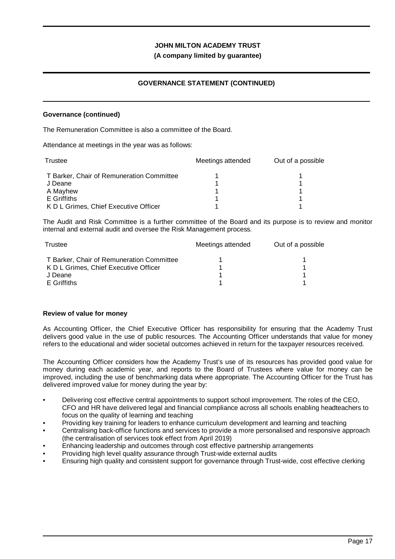## **(A company limited by guarantee)**

## **GOVERNANCE STATEMENT (CONTINUED)**

#### **Governance (continued)**

The Remuneration Committee is also a committee of the Board.

Attendance at meetings in the year was as follows:

| Trustee                                   | Meetings attended | Out of a possible |
|-------------------------------------------|-------------------|-------------------|
| T Barker, Chair of Remuneration Committee |                   |                   |
| J Deane                                   |                   |                   |
| A Mayhew                                  |                   |                   |
| E Griffiths                               |                   |                   |
| K D L Grimes, Chief Executive Officer     |                   |                   |

The Audit and Risk Committee is a further committee of the Board and its purpose is to review and monitor internal and external audit and oversee the Risk Management process.

| Trustee                                   | Meetings attended | Out of a possible |
|-------------------------------------------|-------------------|-------------------|
| T Barker, Chair of Remuneration Committee |                   |                   |
| K D L Grimes, Chief Executive Officer     |                   |                   |
| J Deane                                   |                   |                   |
| E Griffiths                               |                   |                   |

## **Review of value for money**

As Accounting Officer, the Chief Executive Officer has responsibility for ensuring that the Academy Trust delivers good value in the use of public resources. The Accounting Officer understands that value for money refers to the educational and wider societal outcomes achieved in return for the taxpayer resources received.

The Accounting Officer considers how the Academy Trust's use of its resources has provided good value for money during each academic year, and reports to the Board of Trustees where value for money can be improved, including the use of benchmarking data where appropriate. The Accounting Officer for the Trust has delivered improved value for money during the year by:

- Delivering cost effective central appointments to support school improvement. The roles of the CEO, CFO and HR have delivered legal and financial compliance across all schools enabling headteachers to focus on the quality of learning and teaching
- Providing key training for leaders to enhance curriculum development and learning and teaching
- Centralising back-office functions and services to provide a more personalised and responsive approach (the centralisation of services took effect from April 2019)
- Enhancing leadership and outcomes through cost effective partnership arrangements
- Providing high level quality assurance through Trust-wide external audits
- Ensuring high quality and consistent support for governance through Trust-wide, cost effective clerking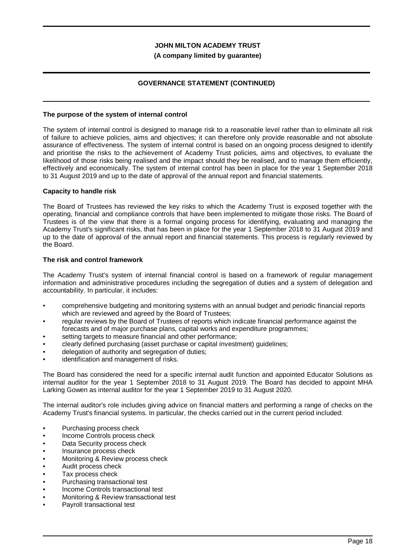### **(A company limited by guarantee)**

## **GOVERNANCE STATEMENT (CONTINUED)**

### **The purpose of the system of internal control**

The system of internal control is designed to manage risk to a reasonable level rather than to eliminate all risk of failure to achieve policies, aims and objectives; it can therefore only provide reasonable and not absolute assurance of effectiveness. The system of internal control is based on an ongoing process designed to identify and prioritise the risks to the achievement of Academy Trust policies, aims and objectives, to evaluate the likelihood of those risks being realised and the impact should they be realised, and to manage them efficiently, effectively and economically. The system of internal control has been in place for the year 1 September 2018 to 31 August 2019 and up to the date of approval of the annual report and financial statements.

#### **Capacity to handle risk**

The Board of Trustees has reviewed the key risks to which the Academy Trust is exposed together with the operating, financial and compliance controls that have been implemented to mitigate those risks. The Board of Trustees is of the view that there is a formal ongoing process for identifying, evaluating and managing the Academy Trust's significant risks, that has been in place for the year 1 September 2018 to 31 August 2019 and up to the date of approval of the annual report and financial statements. This process is regularly reviewed by the Board.

#### **The risk and control framework**

The Academy Trust's system of internal financial control is based on a framework of regular management information and administrative procedures including the segregation of duties and a system of delegation and accountability. In particular, it includes:

- comprehensive budgeting and monitoring systems with an annual budget and periodic financial reports which are reviewed and agreed by the Board of Trustees;
- regular reviews by the Board of Trustees of reports which indicate financial performance against the forecasts and of major purchase plans, capital works and expenditure programmes;
- setting targets to measure financial and other performance;
- clearly defined purchasing (asset purchase or capital investment) guidelines;
- delegation of authority and segregation of duties;
- identification and management of risks.

The Board has considered the need for a specific internal audit function and appointed Educator Solutions as internal auditor for the year 1 September 2018 to 31 August 2019. The Board has decided to appoint MHA Larking Gowen as internal auditor for the year 1 September 2019 to 31 August 2020.

The internal auditor's role includes giving advice on financial matters and performing a range of checks on the Academy Trust's financial systems. In particular, the checks carried out in the current period included:

- Purchasing process check
- Income Controls process check
- Data Security process check
- Insurance process check
- Monitoring & Review process check
- Audit process check
- Tax process check
- Purchasing transactional test
- Income Controls transactional test
- Monitoring & Review transactional test
- Payroll transactional test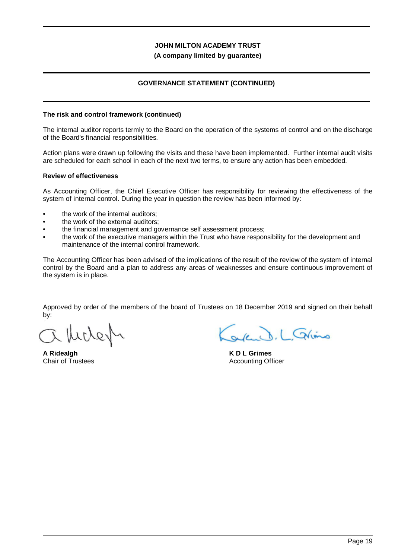#### **(A company limited by guarantee)**

## **GOVERNANCE STATEMENT (CONTINUED)**

#### **The risk and control framework (continued)**

The internal auditor reports termly to the Board on the operation of the systems of control and on the discharge of the Board's financial responsibilities.

Action plans were drawn up following the visits and these have been implemented. Further internal audit visits are scheduled for each school in each of the next two terms, to ensure any action has been embedded.

#### **Review of effectiveness**

As Accounting Officer, the Chief Executive Officer has responsibility for reviewing the effectiveness of the system of internal control. During the year in question the review has been informed by:

- the work of the internal auditors;
- the work of the external auditors;
- the financial management and governance self assessment process;
- the work of the executive managers within the Trust who have responsibility for the development and maintenance of the internal control framework.

The Accounting Officer has been advised of the implications of the result of the review of the system of internal control by the Board and a plan to address any areas of weaknesses and ensure continuous improvement of the system is in place.

Approved by order of the members of the board of Trustees on 18 December 2019 and signed on their behalf by:

Werker

**A Ridealgh** Chair of Trustees

ale D. L. Glims

**K D L Grimes** Accounting Officer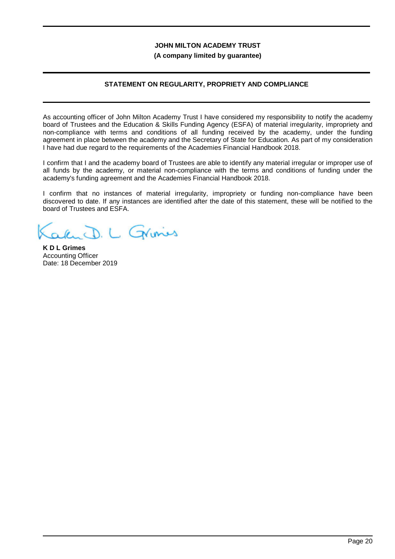**(A company limited by guarantee)**

## **STATEMENT ON REGULARITY, PROPRIETY AND COMPLIANCE**

As accounting officer of John Milton Academy Trust I have considered my responsibility to notify the academy board of Trustees and the Education & Skills Funding Agency (ESFA) of material irregularity, impropriety and non-compliance with terms and conditions of all funding received by the academy, under the funding agreement in place between the academy and the Secretary of State for Education. As part of my consideration I have had due regard to the requirements of the Academies Financial Handbook 2018.

I confirm that I and the academy board of Trustees are able to identify any material irregular or improper use of all funds by the academy, or material non-compliance with the terms and conditions of funding under the academy's funding agreement and the Academies Financial Handbook 2018.

I confirm that no instances of material irregularity, impropriety or funding non-compliance have been discovered to date. If any instances are identified after the date of this statement, these will be notified to the board of Trustees and ESFA.

Ru D. L Grines

**K D L Grimes** Accounting Officer Date: 18 December 2019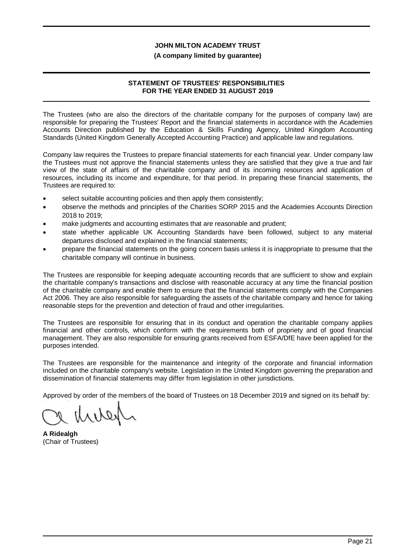#### **(A company limited by guarantee)**

## **STATEMENT OF TRUSTEES' RESPONSIBILITIES FOR THE YEAR ENDED 31 AUGUST 2019**

The Trustees (who are also the directors of the charitable company for the purposes of company law) are responsible for preparing the Trustees' Report and the financial statements in accordance with the Academies Accounts Direction published by the Education & Skills Funding Agency, United Kingdom Accounting Standards (United Kingdom Generally Accepted Accounting Practice) and applicable law and regulations.

Company law requires the Trustees to prepare financial statements for each financial year. Under company law the Trustees must not approve the financial statements unless they are satisfied that they give a true and fair view of the state of affairs of the charitable company and of its incoming resources and application of resources, including its income and expenditure, for that period. In preparing these financial statements, the Trustees are required to:

- select suitable accounting policies and then apply them consistently;
- · observe the methods and principles of the Charities SORP 2015 and the Academies Accounts Direction 2018 to 2019;
- · make judgments and accounting estimates that are reasonable and prudent;
- state whether applicable UK Accounting Standards have been followed, subject to any material departures disclosed and explained in the financial statements;
- · prepare the financial statements on the going concern basis unless it is inappropriate to presume that the charitable company will continue in business.

The Trustees are responsible for keeping adequate accounting records that are sufficient to show and explain the charitable company's transactions and disclose with reasonable accuracy at any time the financial position of the charitable company and enable them to ensure that the financial statements comply with the Companies Act 2006. They are also responsible for safeguarding the assets of the charitable company and hence for taking reasonable steps for the prevention and detection of fraud and other irregularities.

The Trustees are responsible for ensuring that in its conduct and operation the charitable company applies financial and other controls, which conform with the requirements both of propriety and of good financial management. They are also responsible for ensuring grants received from ESFA/DfE have been applied for the purposes intended.

The Trustees are responsible for the maintenance and integrity of the corporate and financial information included on the charitable company's website. Legislation in the United Kingdom governing the preparation and dissemination of financial statements may differ from legislation in other jurisdictions.

Approved by order of the members of the board of Trustees on 18 December 2019 and signed on its behalf by:

retiral

**A Ridealgh** (Chair of Trustees)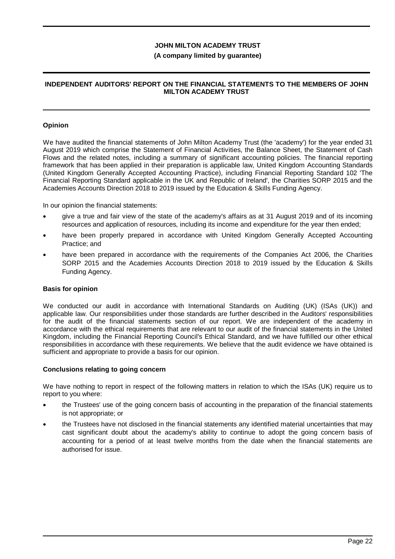### **(A company limited by guarantee)**

## **INDEPENDENT AUDITORS' REPORT ON THE FINANCIAL STATEMENTS TO THE MEMBERS OF JOHN MILTON ACADEMY TRUST**

#### **Opinion**

We have audited the financial statements of John Milton Academy Trust (the 'academy') for the year ended 31 August 2019 which comprise the Statement of Financial Activities, the Balance Sheet, the Statement of Cash Flows and the related notes, including a summary of significant accounting policies. The financial reporting framework that has been applied in their preparation is applicable law, United Kingdom Accounting Standards (United Kingdom Generally Accepted Accounting Practice), including Financial Reporting Standard 102 'The Financial Reporting Standard applicable in the UK and Republic of Ireland', the Charities SORP 2015 and the Academies Accounts Direction 2018 to 2019 issued by the Education & Skills Funding Agency.

In our opinion the financial statements:

- give a true and fair view of the state of the academy's affairs as at 31 August 2019 and of its incoming resources and application of resources, including its income and expenditure for the year then ended;
- have been properly prepared in accordance with United Kingdom Generally Accepted Accounting Practice; and
- have been prepared in accordance with the requirements of the Companies Act 2006, the Charities SORP 2015 and the Academies Accounts Direction 2018 to 2019 issued by the Education & Skills Funding Agency.

#### **Basis for opinion**

We conducted our audit in accordance with International Standards on Auditing (UK) (ISAs (UK)) and applicable law. Our responsibilities under those standards are further described in the Auditors' responsibilities for the audit of the financial statements section of our report. We are independent of the academy in accordance with the ethical requirements that are relevant to our audit of the financial statements in the United Kingdom, including the Financial Reporting Council's Ethical Standard, and we have fulfilled our other ethical responsibilities in accordance with these requirements. We believe that the audit evidence we have obtained is sufficient and appropriate to provide a basis for our opinion.

#### **Conclusions relating to going concern**

We have nothing to report in respect of the following matters in relation to which the ISAs (UK) require us to report to you where:

- · the Trustees' use of the going concern basis of accounting in the preparation of the financial statements is not appropriate; or
- the Trustees have not disclosed in the financial statements any identified material uncertainties that may cast significant doubt about the academy's ability to continue to adopt the going concern basis of accounting for a period of at least twelve months from the date when the financial statements are authorised for issue.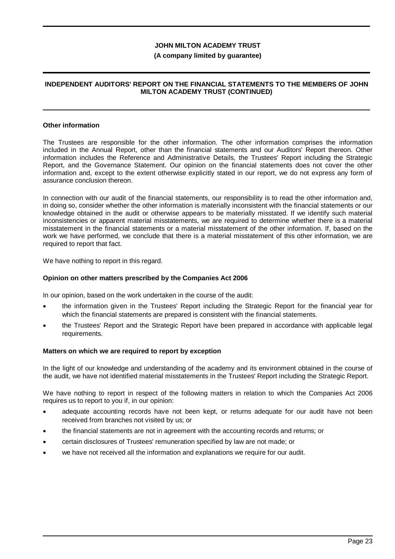#### **(A company limited by guarantee)**

## **INDEPENDENT AUDITORS' REPORT ON THE FINANCIAL STATEMENTS TO THE MEMBERS OF JOHN MILTON ACADEMY TRUST (CONTINUED)**

#### **Other information**

The Trustees are responsible for the other information. The other information comprises the information included in the Annual Report, other than the financial statements and our Auditors' Report thereon. Other information includes the Reference and Administrative Details, the Trustees' Report including the Strategic Report, and the Governance Statement. Our opinion on the financial statements does not cover the other information and, except to the extent otherwise explicitly stated in our report, we do not express any form of assurance conclusion thereon.

In connection with our audit of the financial statements, our responsibility is to read the other information and, in doing so, consider whether the other information is materially inconsistent with the financial statements or our knowledge obtained in the audit or otherwise appears to be materially misstated. If we identify such material inconsistencies or apparent material misstatements, we are required to determine whether there is a material misstatement in the financial statements or a material misstatement of the other information. If, based on the work we have performed, we conclude that there is a material misstatement of this other information, we are required to report that fact.

We have nothing to report in this regard.

#### **Opinion on other matters prescribed by the Companies Act 2006**

In our opinion, based on the work undertaken in the course of the audit:

- · the information given in the Trustees' Report including the Strategic Report for the financial year for which the financial statements are prepared is consistent with the financial statements.
- the Trustees' Report and the Strategic Report have been prepared in accordance with applicable legal requirements.

#### **Matters on which we are required to report by exception**

In the light of our knowledge and understanding of the academy and its environment obtained in the course of the audit, we have not identified material misstatements in the Trustees' Report including the Strategic Report.

We have nothing to report in respect of the following matters in relation to which the Companies Act 2006 requires us to report to you if, in our opinion:

- adequate accounting records have not been kept, or returns adequate for our audit have not been received from branches not visited by us; or
- · the financial statements are not in agreement with the accounting records and returns; or
- · certain disclosures of Trustees' remuneration specified by law are not made; or
- we have not received all the information and explanations we require for our audit.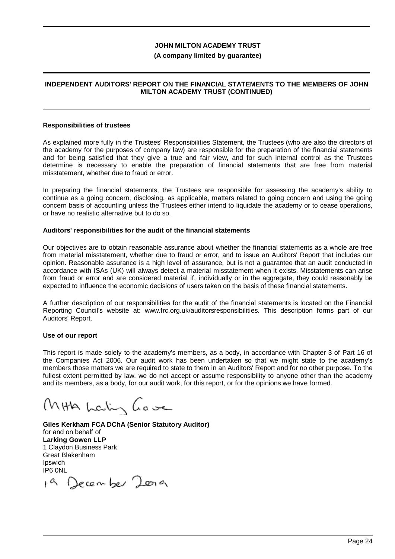#### **(A company limited by guarantee)**

## **INDEPENDENT AUDITORS' REPORT ON THE FINANCIAL STATEMENTS TO THE MEMBERS OF JOHN MILTON ACADEMY TRUST (CONTINUED)**

#### **Responsibilities of trustees**

As explained more fully in the Trustees' Responsibilities Statement, the Trustees (who are also the directors of the academy for the purposes of company law) are responsible for the preparation of the financial statements and for being satisfied that they give a true and fair view, and for such internal control as the Trustees determine is necessary to enable the preparation of financial statements that are free from material misstatement, whether due to fraud or error.

In preparing the financial statements, the Trustees are responsible for assessing the academy's ability to continue as a going concern, disclosing, as applicable, matters related to going concern and using the going concern basis of accounting unless the Trustees either intend to liquidate the academy or to cease operations, or have no realistic alternative but to do so.

#### **Auditors' responsibilities for the audit of the financial statements**

Our objectives are to obtain reasonable assurance about whether the financial statements as a whole are free from material misstatement, whether due to fraud or error, and to issue an Auditors' Report that includes our opinion. Reasonable assurance is a high level of assurance, but is not a guarantee that an audit conducted in accordance with ISAs (UK) will always detect a material misstatement when it exists. Misstatements can arise from fraud or error and are considered material if, individually or in the aggregate, they could reasonably be expected to influence the economic decisions of users taken on the basis of these financial statements.

A further description of our responsibilities for the audit of the financial statements is located on the Financial Reporting Council's website at: www.frc.org.uk/auditorsresponsibilities. This description forms part of our Auditors' Report.

#### **Use of our report**

This report is made solely to the academy's members, as a body, in accordance with Chapter 3 of Part 16 of the Companies Act 2006. Our audit work has been undertaken so that we might state to the academy's members those matters we are required to state to them in an Auditors' Report and for no other purpose. To the fullest extent permitted by law, we do not accept or assume responsibility to anyone other than the academy and its members, as a body, for our audit work, for this report, or for the opinions we have formed.

MHA Lalin Gove

**Giles Kerkham FCA DChA (Senior Statutory Auditor)** for and on behalf of **Larking Gowen LLP** 1 Claydon Business Park Great Blakenham Ipswich IP6 0NL

18 December 2019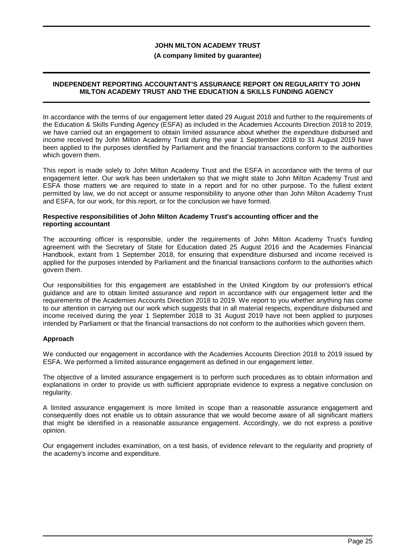#### **(A company limited by guarantee)**

### **INDEPENDENT REPORTING ACCOUNTANT'S ASSURANCE REPORT ON REGULARITY TO JOHN MILTON ACADEMY TRUST AND THE EDUCATION & SKILLS FUNDING AGENCY**

In accordance with the terms of our engagement letter dated 29 August 2018 and further to the requirements of the Education & Skills Funding Agency (ESFA) as included in the Academies Accounts Direction 2018 to 2019, we have carried out an engagement to obtain limited assurance about whether the expenditure disbursed and income received by John Milton Academy Trust during the year 1 September 2018 to 31 August 2019 have been applied to the purposes identified by Parliament and the financial transactions conform to the authorities which govern them.

This report is made solely to John Milton Academy Trust and the ESFA in accordance with the terms of our engagement letter. Our work has been undertaken so that we might state to John Milton Academy Trust and ESFA those matters we are required to state in a report and for no other purpose. To the fullest extent permitted by law, we do not accept or assume responsibility to anyone other than John Milton Academy Trust and ESFA, for our work, for this report, or for the conclusion we have formed.

#### **Respective responsibilities of John Milton Academy Trust's accounting officer and the reporting accountant**

The accounting officer is responsible, under the requirements of John Milton Academy Trust's funding agreement with the Secretary of State for Education dated 25 August 2016 and the Academies Financial Handbook, extant from 1 September 2018, for ensuring that expenditure disbursed and income received is applied for the purposes intended by Parliament and the financial transactions conform to the authorities which govern them.

Our responsibilities for this engagement are established in the United Kingdom by our profession's ethical guidance and are to obtain limited assurance and report in accordance with our engagement letter and the requirements of the Academies Accounts Direction 2018 to 2019. We report to you whether anything has come to our attention in carrying out our work which suggests that in all material respects, expenditure disbursed and income received during the year 1 September 2018 to 31 August 2019 have not been applied to purposes intended by Parliament or that the financial transactions do not conform to the authorities which govern them.

## **Approach**

We conducted our engagement in accordance with the Academies Accounts Direction 2018 to 2019 issued by ESFA. We performed a limited assurance engagement as defined in our engagement letter.

The objective of a limited assurance engagement is to perform such procedures as to obtain information and explanations in order to provide us with sufficient appropriate evidence to express a negative conclusion on regularity.

A limited assurance engagement is more limited in scope than a reasonable assurance engagement and consequently does not enable us to obtain assurance that we would become aware of all significant matters that might be identified in a reasonable assurance engagement. Accordingly, we do not express a positive opinion.

Our engagement includes examination, on a test basis, of evidence relevant to the regularity and propriety of the academy's income and expenditure.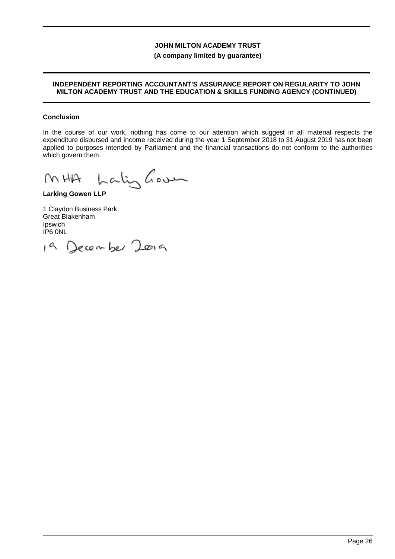## **(A company limited by guarantee)**

### **INDEPENDENT REPORTING ACCOUNTANT'S ASSURANCE REPORT ON REGULARITY TO JOHN MILTON ACADEMY TRUST AND THE EDUCATION & SKILLS FUNDING AGENCY (CONTINUED)**

### **Conclusion**

In the course of our work, nothing has come to our attention which suggest in all material respects the expenditure disbursed and income received during the year 1 September 2018 to 31 August 2019 has not been applied to purposes intended by Parliament and the financial transactions do not conform to the authorities which govern them.

Lalighous  $(MHH)$ 

**Larking Gowen LLP**

1 Claydon Business Park Great Blakenham Ipswich IP6 0NL

19 December 2009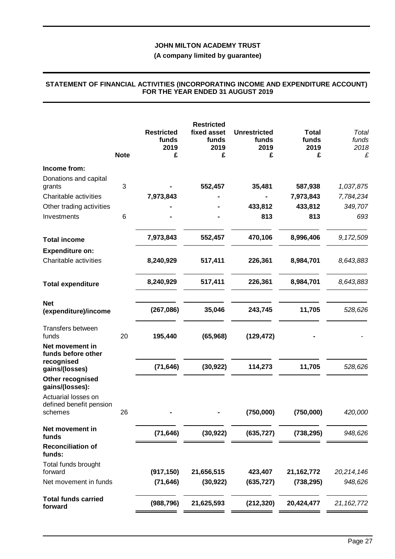#### **(A company limited by guarantee)**

## **Restricted funds 2019 Restricted fixed asset funds 2019 Unrestricted funds 2019 Total funds 2019** *Total funds 2018* **Note £ £ £ £** *£* **Income from:** Donations and capital grants 3 **- 552,457 35,481 587,938** *1,037,875* Charitable activities **7,973,843 - - 7,973,843** *7,784,234* Other trading activities **- - 433,812 433,812** *349,707* Investments 6 **- - 813 813** *693* **Total income 7,973,843 552,457 470,106 8,996,406** *9,172,509* **Expenditure on:** Charitable activities **8,240,929 517,411 226,361 8,984,701** *8,643,883* **Total expenditure 8,240,929 517,411 226,361 8,984,701** *8,643,883* **Net (expenditure)/income (267,086) 35,046 243,745 11,705** *528,626* Transfers between funds 20 **195,440 (65,968) (129,472) -** *-* **Net movement in funds before other recognised gains/(losses) (71,646) (30,922) 114,273 11,705** *528,626* **Other recognised gains/(losses):** Actuarial losses on defined benefit pension schemes 26 **- - (750,000) (750,000)** *420,000* **Net movement in funds (71,646) (30,922) (635,727) (738,295)** *948,626* **Reconciliation of funds:** Total funds brought forward **(917,150) 21,656,515 423,407 21,162,772** *20,214,146* Net movement in funds **(71,646) (30,922) (635,727) (738,295)** *948,626* **Total funds carried forward (988,796) 21,625,593 (212,320) 20,424,477** *21,162,772*

#### **STATEMENT OF FINANCIAL ACTIVITIES (INCORPORATING INCOME AND EXPENDITURE ACCOUNT) FOR THE YEAR ENDED 31 AUGUST 2019**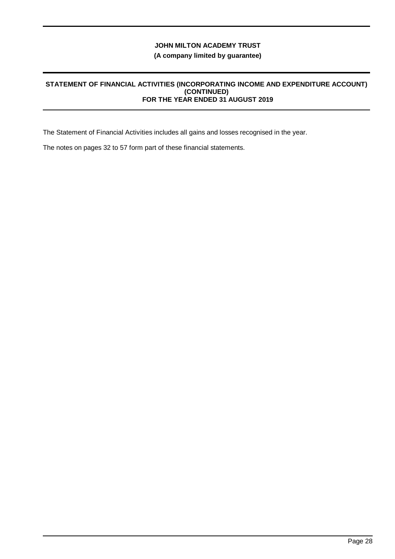## **(A company limited by guarantee)**

#### **STATEMENT OF FINANCIAL ACTIVITIES (INCORPORATING INCOME AND EXPENDITURE ACCOUNT) (CONTINUED) FOR THE YEAR ENDED 31 AUGUST 2019**

The Statement of Financial Activities includes all gains and losses recognised in the year.

The notes on pages 32 to 57 form part of these financial statements.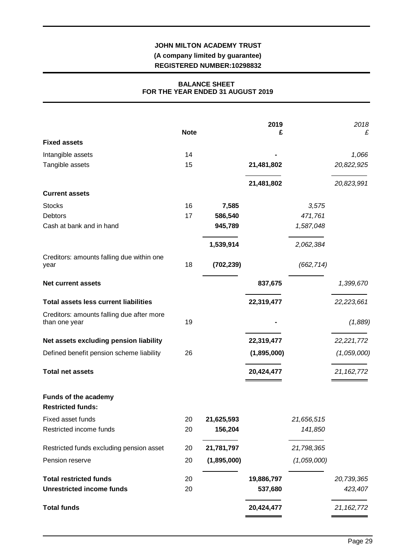## **JOHN MILTON ACADEMY TRUST (A company limited by guarantee) REGISTERED NUMBER:10298832**

## **BALANCE SHEET FOR THE YEAR ENDED 31 AUGUST 2019**

| <b>Note</b><br><b>Fixed assets</b><br>Intangible assets<br>14<br>Tangible assets<br>15<br>21,481,802<br>21,481,802<br><b>Current assets</b><br>16<br><b>Stocks</b><br>7,585<br>3,575<br><b>Debtors</b><br>17<br>586,540<br>471,761 | 1,066<br>20,822,925<br>20,823,991 |
|------------------------------------------------------------------------------------------------------------------------------------------------------------------------------------------------------------------------------------|-----------------------------------|
|                                                                                                                                                                                                                                    |                                   |
|                                                                                                                                                                                                                                    |                                   |
|                                                                                                                                                                                                                                    |                                   |
|                                                                                                                                                                                                                                    |                                   |
|                                                                                                                                                                                                                                    |                                   |
|                                                                                                                                                                                                                                    |                                   |
|                                                                                                                                                                                                                                    |                                   |
| Cash at bank and in hand<br>945,789<br>1,587,048                                                                                                                                                                                   |                                   |
| 1,539,914<br>2,062,384                                                                                                                                                                                                             |                                   |
| Creditors: amounts falling due within one<br>18<br>(702, 239)<br>(662, 714)<br>year                                                                                                                                                |                                   |
| 837,675<br><b>Net current assets</b>                                                                                                                                                                                               | 1,399,670                         |
| <b>Total assets less current liabilities</b><br>22,319,477                                                                                                                                                                         | 22,223,661                        |
| Creditors: amounts falling due after more<br>19<br>than one year                                                                                                                                                                   | (1,889)                           |
| Net assets excluding pension liability<br>22,319,477                                                                                                                                                                               | 22,221,772                        |
| Defined benefit pension scheme liability<br>26<br>(1,895,000)                                                                                                                                                                      | (1,059,000)                       |
| <b>Total net assets</b><br>20,424,477                                                                                                                                                                                              | 21, 162, 772                      |
| Funds of the academy<br><b>Restricted funds:</b>                                                                                                                                                                                   |                                   |
| Fixed asset funds<br>21,625,593<br>20<br>21,656,515                                                                                                                                                                                |                                   |
| Restricted income funds<br>20<br>156,204<br>141,850                                                                                                                                                                                |                                   |
| 21,781,797<br>Restricted funds excluding pension asset<br>20<br>21,798,365                                                                                                                                                         |                                   |
| (1,895,000)<br>(1,059,000)<br>Pension reserve<br>20                                                                                                                                                                                |                                   |
| <b>Total restricted funds</b><br>19,886,797<br>20                                                                                                                                                                                  | 20,739,365                        |
| <b>Unrestricted income funds</b><br>20<br>537,680                                                                                                                                                                                  | 423,407                           |
| <b>Total funds</b><br>20,424,477                                                                                                                                                                                                   | 21, 162, 772                      |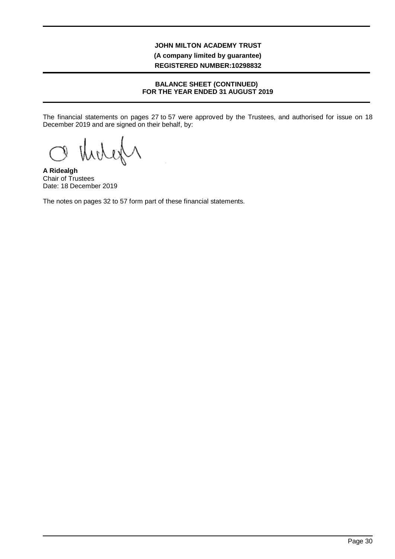## **JOHN MILTON ACADEMY TRUST (A company limited by guarantee) REGISTERED NUMBER:10298832**

## **BALANCE SHEET (CONTINUED) FOR THE YEAR ENDED 31 AUGUST 2019**

The financial statements on pages 27 to 57 were approved by the Trustees, and authorised for issue on 18 December 2019 and are signed on their behalf, by:

**A Ridealgh** Chair of Trustees Date: 18 December 2019

The notes on pages 32 to 57 form part of these financial statements.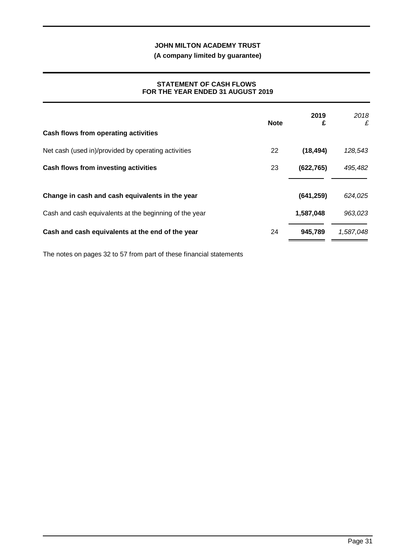**(A company limited by guarantee)**

## **STATEMENT OF CASH FLOWS FOR THE YEAR ENDED 31 AUGUST 2019**

|                                                        | <b>Note</b> | 2019<br>£  | 2018<br>£ |
|--------------------------------------------------------|-------------|------------|-----------|
| Cash flows from operating activities                   |             |            |           |
| Net cash (used in)/provided by operating activities    | 22          | (18, 494)  | 128,543   |
| Cash flows from investing activities                   | 23          | (622, 765) | 495,482   |
|                                                        |             |            |           |
| Change in cash and cash equivalents in the year        |             | (641, 259) | 624,025   |
| Cash and cash equivalents at the beginning of the year |             | 1,587,048  | 963,023   |
| Cash and cash equivalents at the end of the year       | 24          | 945,789    | 1,587,048 |

The notes on pages 32 to 57 from part of these financial statements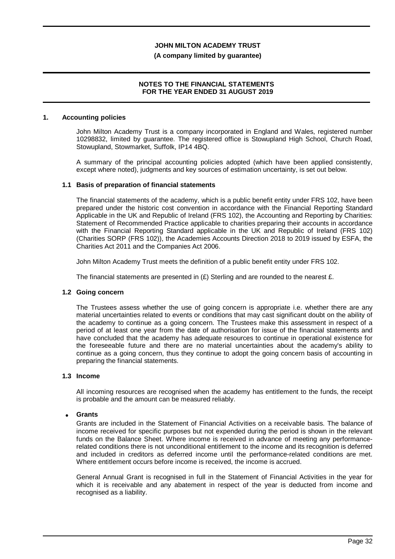#### **(A company limited by guarantee)**

### **NOTES TO THE FINANCIAL STATEMENTS FOR THE YEAR ENDED 31 AUGUST 2019**

#### **1. Accounting policies**

John Milton Academy Trust is a company incorporated in England and Wales, registered number 10298832, limited by guarantee. The registered office is Stowupland High School, Church Road, Stowupland, Stowmarket, Suffolk, IP14 4BQ.

A summary of the principal accounting policies adopted (which have been applied consistently, except where noted), judgments and key sources of estimation uncertainty, is set out below.

#### **1.1 Basis of preparation of financial statements**

The financial statements of the academy, which is a public benefit entity under FRS 102, have been prepared under the historic cost convention in accordance with the Financial Reporting Standard Applicable in the UK and Republic of Ireland (FRS 102), the Accounting and Reporting by Charities: Statement of Recommended Practice applicable to charities preparing their accounts in accordance with the Financial Reporting Standard applicable in the UK and Republic of Ireland (FRS 102) (Charities SORP (FRS 102)), the Academies Accounts Direction 2018 to 2019 issued by ESFA, the Charities Act 2011 and the Companies Act 2006.

John Milton Academy Trust meets the definition of a public benefit entity under FRS 102.

The financial statements are presented in  $(E)$  Sterling and are rounded to the nearest  $E$ .

## **1.2 Going concern**

The Trustees assess whether the use of going concern is appropriate i.e. whether there are any material uncertainties related to events or conditions that may cast significant doubt on the ability of the academy to continue as a going concern. The Trustees make this assessment in respect of a period of at least one year from the date of authorisation for issue of the financial statements and have concluded that the academy has adequate resources to continue in operational existence for the foreseeable future and there are no material uncertainties about the academy's ability to continue as a going concern, thus they continue to adopt the going concern basis of accounting in preparing the financial statements.

## **1.3 Income**

All incoming resources are recognised when the academy has entitlement to the funds, the receipt is probable and the amount can be measured reliably.

## · **Grants**

Grants are included in the Statement of Financial Activities on a receivable basis. The balance of income received for specific purposes but not expended during the period is shown in the relevant funds on the Balance Sheet. Where income is received in advance of meeting any performancerelated conditions there is not unconditional entitlement to the income and its recognition is deferred and included in creditors as deferred income until the performance-related conditions are met. Where entitlement occurs before income is received, the income is accrued.

General Annual Grant is recognised in full in the Statement of Financial Activities in the year for which it is receivable and any abatement in respect of the year is deducted from income and recognised as a liability.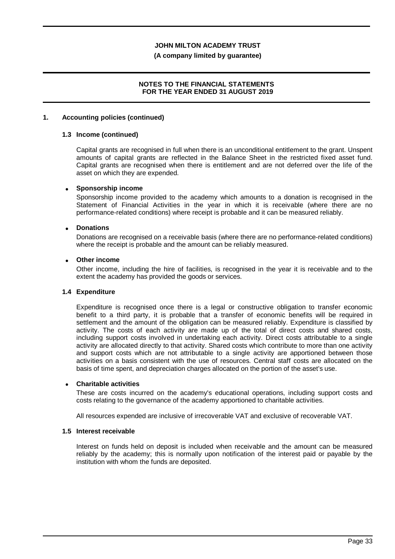#### **(A company limited by guarantee)**

## **NOTES TO THE FINANCIAL STATEMENTS FOR THE YEAR ENDED 31 AUGUST 2019**

#### **1. Accounting policies (continued)**

#### **1.3 Income (continued)**

Capital grants are recognised in full when there is an unconditional entitlement to the grant. Unspent amounts of capital grants are reflected in the Balance Sheet in the restricted fixed asset fund. Capital grants are recognised when there is entitlement and are not deferred over the life of the asset on which they are expended.

#### · **Sponsorship income**

Sponsorship income provided to the academy which amounts to a donation is recognised in the Statement of Financial Activities in the year in which it is receivable (where there are no performance-related conditions) where receipt is probable and it can be measured reliably.

#### · **Donations**

Donations are recognised on a receivable basis (where there are no performance-related conditions) where the receipt is probable and the amount can be reliably measured.

## · **Other income**

Other income, including the hire of facilities, is recognised in the year it is receivable and to the extent the academy has provided the goods or services.

#### **1.4 Expenditure**

Expenditure is recognised once there is a legal or constructive obligation to transfer economic benefit to a third party, it is probable that a transfer of economic benefits will be required in settlement and the amount of the obligation can be measured reliably. Expenditure is classified by activity. The costs of each activity are made up of the total of direct costs and shared costs, including support costs involved in undertaking each activity. Direct costs attributable to a single activity are allocated directly to that activity. Shared costs which contribute to more than one activity and support costs which are not attributable to a single activity are apportioned between those activities on a basis consistent with the use of resources. Central staff costs are allocated on the basis of time spent, and depreciation charges allocated on the portion of the asset's use.

#### · **Charitable activities**

These are costs incurred on the academy's educational operations, including support costs and costs relating to the governance of the academy apportioned to charitable activities.

All resources expended are inclusive of irrecoverable VAT and exclusive of recoverable VAT.

#### **1.5 Interest receivable**

Interest on funds held on deposit is included when receivable and the amount can be measured reliably by the academy; this is normally upon notification of the interest paid or payable by the institution with whom the funds are deposited.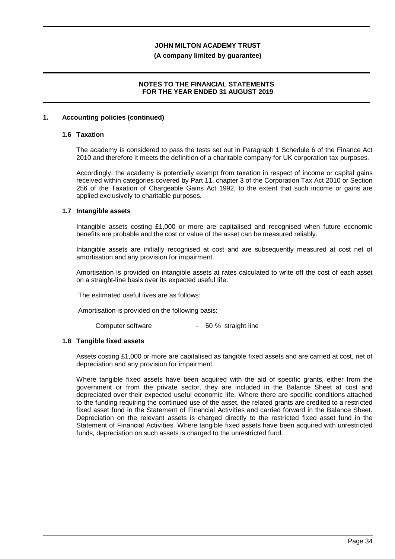#### **(A company limited by guarantee)**

## **NOTES TO THE FINANCIAL STATEMENTS FOR THE YEAR ENDED 31 AUGUST 2019**

#### **1. Accounting policies (continued)**

#### **1.6 Taxation**

The academy is considered to pass the tests set out in Paragraph 1 Schedule 6 of the Finance Act 2010 and therefore it meets the definition of a charitable company for UK corporation tax purposes.

Accordingly, the academy is potentially exempt from taxation in respect of income or capital gains received within categories covered by Part 11, chapter 3 of the Corporation Tax Act 2010 or Section 256 of the Taxation of Chargeable Gains Act 1992, to the extent that such income or gains are applied exclusively to charitable purposes.

#### **1.7 Intangible assets**

Intangible assets costing £1,000 or more are capitalised and recognised when future economic benefits are probable and the cost or value of the asset can be measured reliably.

Intangible assets are initially recognised at cost and are subsequently measured at cost net of amortisation and any provision for impairment.

Amortisation is provided on intangible assets at rates calculated to write off the cost of each asset on a straight-line basis over its expected useful life.

The estimated useful lives are as follows:

Amortisation is provided on the following basis:

Computer software - 50 % straight line

## **1.8 Tangible fixed assets**

Assets costing £1,000 or more are capitalised as tangible fixed assets and are carried at cost, net of depreciation and any provision for impairment.

Where tangible fixed assets have been acquired with the aid of specific grants, either from the government or from the private sector, they are included in the Balance Sheet at cost and depreciated over their expected useful economic life. Where there are specific conditions attached to the funding requiring the continued use of the asset, the related grants are credited to a restricted fixed asset fund in the Statement of Financial Activities and carried forward in the Balance Sheet. Depreciation on the relevant assets is charged directly to the restricted fixed asset fund in the Statement of Financial Activities. Where tangible fixed assets have been acquired with unrestricted funds, depreciation on such assets is charged to the unrestricted fund.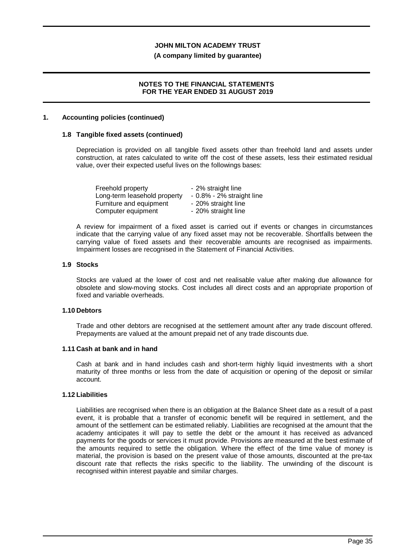#### **(A company limited by guarantee)**

### **NOTES TO THE FINANCIAL STATEMENTS FOR THE YEAR ENDED 31 AUGUST 2019**

#### **1. Accounting policies (continued)**

### **1.8 Tangible fixed assets (continued)**

Depreciation is provided on all tangible fixed assets other than freehold land and assets under construction, at rates calculated to write off the cost of these assets, less their estimated residual value, over their expected useful lives on the followings bases:

| Freehold property            | - 2% straight line           |
|------------------------------|------------------------------|
| Long-term leasehold property | $-0.8\% - 2\%$ straight line |
| Furniture and equipment      | - 20% straight line          |
| Computer equipment           | - 20% straight line          |

A review for impairment of a fixed asset is carried out if events or changes in circumstances indicate that the carrying value of any fixed asset may not be recoverable. Shortfalls between the carrying value of fixed assets and their recoverable amounts are recognised as impairments. Impairment losses are recognised in the Statement of Financial Activities.

#### **1.9 Stocks**

Stocks are valued at the lower of cost and net realisable value after making due allowance for obsolete and slow-moving stocks. Cost includes all direct costs and an appropriate proportion of fixed and variable overheads.

## **1.10 Debtors**

Trade and other debtors are recognised at the settlement amount after any trade discount offered. Prepayments are valued at the amount prepaid net of any trade discounts due.

#### **1.11 Cash at bank and in hand**

Cash at bank and in hand includes cash and short-term highly liquid investments with a short maturity of three months or less from the date of acquisition or opening of the deposit or similar account.

## **1.12 Liabilities**

Liabilities are recognised when there is an obligation at the Balance Sheet date as a result of a past event, it is probable that a transfer of economic benefit will be required in settlement, and the amount of the settlement can be estimated reliably. Liabilities are recognised at the amount that the academy anticipates it will pay to settle the debt or the amount it has received as advanced payments for the goods or services it must provide. Provisions are measured at the best estimate of the amounts required to settle the obligation. Where the effect of the time value of money is material, the provision is based on the present value of those amounts, discounted at the pre-tax discount rate that reflects the risks specific to the liability. The unwinding of the discount is recognised within interest payable and similar charges.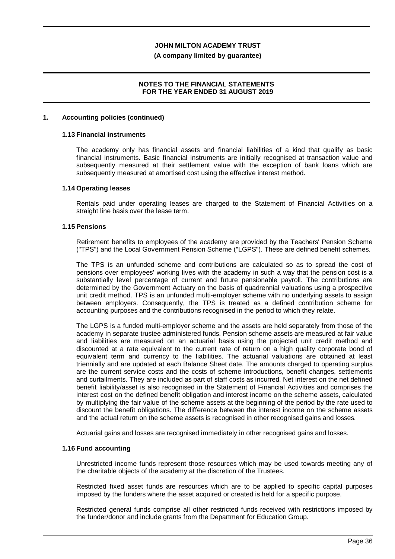#### **(A company limited by guarantee)**

## **NOTES TO THE FINANCIAL STATEMENTS FOR THE YEAR ENDED 31 AUGUST 2019**

#### **1. Accounting policies (continued)**

## **1.13 Financial instruments**

The academy only has financial assets and financial liabilities of a kind that qualify as basic financial instruments. Basic financial instruments are initially recognised at transaction value and subsequently measured at their settlement value with the exception of bank loans which are subsequently measured at amortised cost using the effective interest method.

#### **1.14 Operating leases**

Rentals paid under operating leases are charged to the Statement of Financial Activities on a straight line basis over the lease term.

#### **1.15 Pensions**

Retirement benefits to employees of the academy are provided by the Teachers' Pension Scheme ("TPS") and the Local Government Pension Scheme ("LGPS"). These are defined benefit schemes.

The TPS is an unfunded scheme and contributions are calculated so as to spread the cost of pensions over employees' working lives with the academy in such a way that the pension cost is a substantially level percentage of current and future pensionable payroll. The contributions are determined by the Government Actuary on the basis of quadrennial valuations using a prospective unit credit method. TPS is an unfunded multi-employer scheme with no underlying assets to assign between employers. Consequently, the TPS is treated as a defined contribution scheme for accounting purposes and the contributions recognised in the period to which they relate.

The LGPS is a funded multi-employer scheme and the assets are held separately from those of the academy in separate trustee administered funds. Pension scheme assets are measured at fair value and liabilities are measured on an actuarial basis using the projected unit credit method and discounted at a rate equivalent to the current rate of return on a high quality corporate bond of equivalent term and currency to the liabilities. The actuarial valuations are obtained at least triennially and are updated at each Balance Sheet date. The amounts charged to operating surplus are the current service costs and the costs of scheme introductions, benefit changes, settlements and curtailments. They are included as part of staff costs as incurred. Net interest on the net defined benefit liability/asset is also recognised in the Statement of Financial Activities and comprises the interest cost on the defined benefit obligation and interest income on the scheme assets, calculated by multiplying the fair value of the scheme assets at the beginning of the period by the rate used to discount the benefit obligations. The difference between the interest income on the scheme assets and the actual return on the scheme assets is recognised in other recognised gains and losses.

Actuarial gains and losses are recognised immediately in other recognised gains and losses.

## **1.16 Fund accounting**

Unrestricted income funds represent those resources which may be used towards meeting any of the charitable objects of the academy at the discretion of the Trustees.

Restricted fixed asset funds are resources which are to be applied to specific capital purposes imposed by the funders where the asset acquired or created is held for a specific purpose.

Restricted general funds comprise all other restricted funds received with restrictions imposed by the funder/donor and include grants from the Department for Education Group.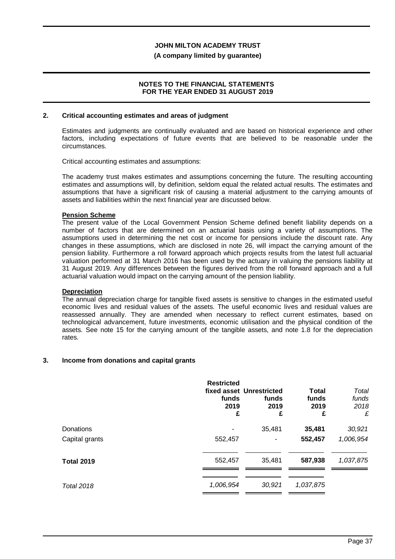#### **(A company limited by guarantee)**

### **NOTES TO THE FINANCIAL STATEMENTS FOR THE YEAR ENDED 31 AUGUST 2019**

#### **2. Critical accounting estimates and areas of judgment**

Estimates and judgments are continually evaluated and are based on historical experience and other factors, including expectations of future events that are believed to be reasonable under the circumstances.

Critical accounting estimates and assumptions:

The academy trust makes estimates and assumptions concerning the future. The resulting accounting estimates and assumptions will, by definition, seldom equal the related actual results. The estimates and assumptions that have a significant risk of causing a material adjustment to the carrying amounts of assets and liabilities within the next financial year are discussed below.

#### **Pension Scheme**

The present value of the Local Government Pension Scheme defined benefit liability depends on a number of factors that are determined on an actuarial basis using a variety of assumptions. The assumptions used in determining the net cost or income for pensions include the discount rate. Any changes in these assumptions, which are disclosed in note 26, will impact the carrying amount of the pension liability. Furthermore a roll forward approach which projects results from the latest full actuarial valuation performed at 31 March 2016 has been used by the actuary in valuing the pensions liability at 31 August 2019. Any differences between the figures derived from the roll forward approach and a full actuarial valuation would impact on the carrying amount of the pension liability.

## **Depreciation**

The annual depreciation charge for tangible fixed assets is sensitive to changes in the estimated useful economic lives and residual values of the assets. The useful economic lives and residual values are reassessed annually. They are amended when necessary to reflect current estimates, based on technological advancement, future investments, economic utilisation and the physical condition of the assets. See note 15 for the carrying amount of the tangible assets, and note 1.8 for the depreciation rates.

## **3. Income from donations and capital grants**

|                   | <b>Restricted</b><br>funds<br>2019<br>£ | fixed asset Unrestricted<br>funds<br>2019<br>£ | Total<br>funds<br>2019<br>£ | Total<br>funds<br>2018<br>£ |
|-------------------|-----------------------------------------|------------------------------------------------|-----------------------------|-----------------------------|
| Donations         |                                         | 35,481                                         | 35,481                      | 30,921                      |
| Capital grants    | 552,457                                 |                                                | 552,457                     | 1,006,954                   |
| <b>Total 2019</b> | 552,457                                 | 35,481                                         | 587,938                     | 1,037,875                   |
| <b>Total 2018</b> | 1,006,954                               | 30,921                                         | 1,037,875                   |                             |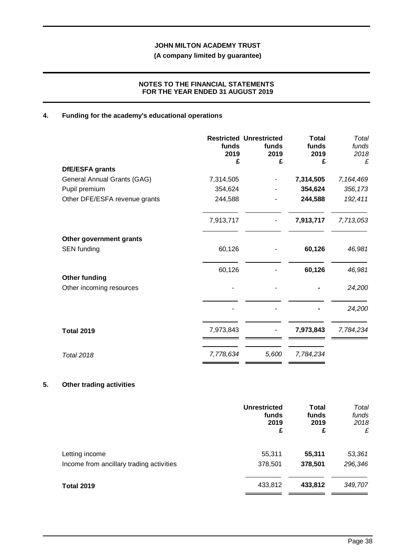**(A company limited by guarantee)**

## **NOTES TO THE FINANCIAL STATEMENTS FOR THE YEAR ENDED 31 AUGUST 2019**

## **4. Funding for the academy's educational operations**

|                               | funds<br>2019<br>£ | <b>Restricted Unrestricted</b><br>funds<br>2019<br>£ | <b>Total</b><br>funds<br>2019<br>£ | Total<br>funds<br>2018<br>£ |
|-------------------------------|--------------------|------------------------------------------------------|------------------------------------|-----------------------------|
| DfE/ESFA grants               |                    |                                                      |                                    |                             |
| General Annual Grants (GAG)   | 7,314,505          |                                                      | 7,314,505                          | 7,164,469                   |
| Pupil premium                 | 354,624            |                                                      | 354,624                            | 356,173                     |
| Other DFE/ESFA revenue grants | 244,588            |                                                      | 244,588                            | 192,411                     |
|                               | 7,913,717          |                                                      | 7,913,717                          | 7,713,053                   |
| Other government grants       |                    |                                                      |                                    |                             |
| <b>SEN</b> funding            | 60,126             |                                                      | 60,126                             | 46,981                      |
|                               | 60,126             |                                                      | 60,126                             | 46,981                      |
| <b>Other funding</b>          |                    |                                                      |                                    |                             |
| Other incoming resources      |                    |                                                      |                                    | 24,200                      |
|                               |                    |                                                      |                                    | 24,200                      |
| <b>Total 2019</b>             | 7,973,843          |                                                      | 7,973,843                          | 7,784,234                   |
| <b>Total 2018</b>             | 7,778,634          | 5,600                                                | 7,784,234                          |                             |

## **5. Other trading activities**

|                                          | <b>Unrestricted</b><br>funds<br>2019<br>£ | <b>Total</b><br>funds<br>2019<br>£ | Total<br>funds<br>2018<br>£ |
|------------------------------------------|-------------------------------------------|------------------------------------|-----------------------------|
| Letting income                           | 55,311                                    | 55,311                             | 53,361                      |
| Income from ancillary trading activities | 378,501                                   | 378,501                            | 296,346                     |
| <b>Total 2019</b>                        | 433,812                                   | 433,812                            | 349,707                     |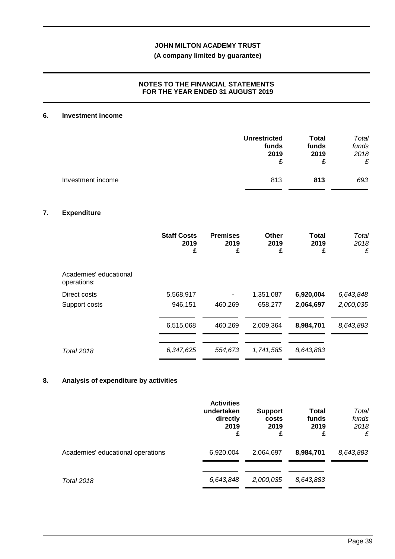## **(A company limited by guarantee)**

## **NOTES TO THE FINANCIAL STATEMENTS FOR THE YEAR ENDED 31 AUGUST 2019**

## **6. Investment income**

|                   | <b>Unrestricted</b> | Total | Total |
|-------------------|---------------------|-------|-------|
|                   | funds               | funds | funds |
|                   | 2019                | 2019  | 2018  |
|                   | £                   | £     | £     |
| Investment income | 813                 | 813   | 693   |

## **7. Expenditure**

|                                       | <b>Staff Costs</b><br>2019<br>£ | <b>Premises</b><br>2019<br>£ | Other<br>2019<br>£ | <b>Total</b><br>2019<br>£ | Total<br>2018<br>£ |
|---------------------------------------|---------------------------------|------------------------------|--------------------|---------------------------|--------------------|
| Academies' educational<br>operations: |                                 |                              |                    |                           |                    |
| Direct costs                          | 5,568,917                       |                              | 1,351,087          | 6,920,004                 | 6,643,848          |
| Support costs                         | 946,151                         | 460,269                      | 658,277            | 2,064,697                 | 2,000,035          |
|                                       | 6,515,068                       | 460,269                      | 2,009,364          | 8,984,701                 | 8,643,883          |
| <b>Total 2018</b>                     | 6,347,625                       | 554,673                      | 1,741,585          | 8,643,883                 |                    |

## **8. Analysis of expenditure by activities**

|                                   | <b>Activities</b><br>undertaken<br>directly<br>2019<br>£ | <b>Support</b><br>costs<br>2019<br>£ | Total<br>funds<br>2019<br>£ | Total<br>funds<br>2018<br>£ |
|-----------------------------------|----------------------------------------------------------|--------------------------------------|-----------------------------|-----------------------------|
| Academies' educational operations | 6,920,004                                                | 2,064,697                            | 8,984,701                   | 8,643,883                   |
| <b>Total 2018</b>                 | 6,643,848                                                | 2,000,035                            | 8,643,883                   |                             |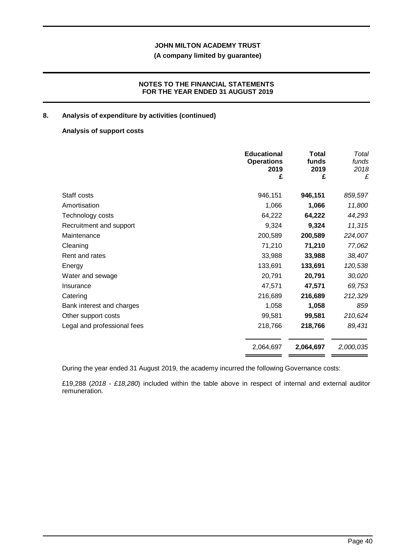## **(A company limited by guarantee)**

## **NOTES TO THE FINANCIAL STATEMENTS FOR THE YEAR ENDED 31 AUGUST 2019**

## **8. Analysis of expenditure by activities (continued)**

## **Analysis of support costs**

|                             | <b>Educational</b><br><b>Operations</b><br>2019 | Total<br>funds<br>2019 | Total<br>funds<br>2018 |
|-----------------------------|-------------------------------------------------|------------------------|------------------------|
|                             | £                                               | £                      | £                      |
| Staff costs                 | 946,151                                         | 946,151                | 859,597                |
| Amortisation                | 1,066                                           | 1,066                  | 11,800                 |
| Technology costs            | 64,222                                          | 64,222                 | 44,293                 |
| Recruitment and support     | 9,324                                           | 9,324                  | 11,315                 |
| Maintenance                 | 200,589                                         | 200,589                | 224,007                |
| Cleaning                    | 71,210                                          | 71,210                 | 77,062                 |
| Rent and rates              | 33,988                                          | 33,988                 | 38,407                 |
| Energy                      | 133,691                                         | 133,691                | 120,538                |
| Water and sewage            | 20,791                                          | 20,791                 | 30,020                 |
| Insurance                   | 47,571                                          | 47,571                 | 69,753                 |
| Catering                    | 216,689                                         | 216,689                | 212,329                |
| Bank interest and charges   | 1,058                                           | 1,058                  | 859                    |
| Other support costs         | 99,581                                          | 99,581                 | 210,624                |
| Legal and professional fees | 218,766                                         | 218,766                | 89,431                 |
|                             | 2,064,697                                       | 2,064,697              | 2,000,035              |

During the year ended 31 August 2019, the academy incurred the following Governance costs:

£19,288 (*2018 - £18,280*) included within the table above in respect of internal and external auditor remuneration.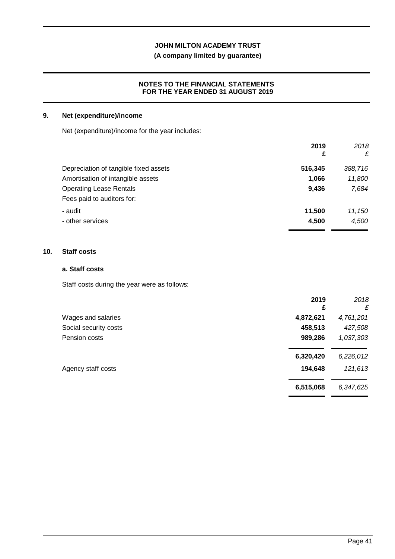## **(A company limited by guarantee)**

## **NOTES TO THE FINANCIAL STATEMENTS FOR THE YEAR ENDED 31 AUGUST 2019**

## **9. Net (expenditure)/income**

Net (expenditure)/income for the year includes:

|                                       | 2019<br>£ | 2018<br>£ |
|---------------------------------------|-----------|-----------|
| Depreciation of tangible fixed assets | 516,345   | 388,716   |
| Amortisation of intangible assets     | 1,066     | 11,800    |
| <b>Operating Lease Rentals</b>        | 9,436     | 7,684     |
| Fees paid to auditors for:            |           |           |
| - audit                               | 11,500    | 11,150    |
| - other services                      | 4,500     | 4,500     |
|                                       |           |           |

## **10. Staff costs**

## **a. Staff costs**

Staff costs during the year were as follows:

|                       | 2019<br>£ | 2018<br>£ |
|-----------------------|-----------|-----------|
| Wages and salaries    | 4,872,621 | 4,761,201 |
| Social security costs | 458,513   | 427,508   |
| Pension costs         | 989,286   | 1,037,303 |
|                       | 6,320,420 | 6,226,012 |
| Agency staff costs    | 194,648   | 121,613   |
|                       | 6,515,068 | 6,347,625 |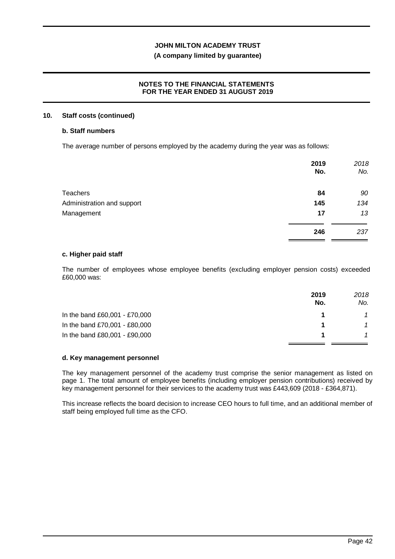## **(A company limited by guarantee)**

## **NOTES TO THE FINANCIAL STATEMENTS FOR THE YEAR ENDED 31 AUGUST 2019**

#### **10. Staff costs (continued)**

## **b. Staff numbers**

The average number of persons employed by the academy during the year was as follows:

|                            | 2019<br>No. | 2018<br>No. |
|----------------------------|-------------|-------------|
| <b>Teachers</b>            | 84          | 90          |
| Administration and support | 145         | 134         |
| Management                 | 17          | 13          |
|                            | 246         | 237         |

#### **c. Higher paid staff**

The number of employees whose employee benefits (excluding employer pension costs) exceeded £60,000 was:

|                               | 2019<br>No. | 2018<br>No. |
|-------------------------------|-------------|-------------|
| In the band £60,001 - £70,000 |             |             |
| In the band £70,001 - £80,000 |             |             |
| In the band £80,001 - £90,000 |             |             |

## **d. Key management personnel**

The key management personnel of the academy trust comprise the senior management as listed on page 1. The total amount of employee benefits (including employer pension contributions) received by key management personnel for their services to the academy trust was £443,609 (2018 - £364,871).

This increase reflects the board decision to increase CEO hours to full time, and an additional member of staff being employed full time as the CFO.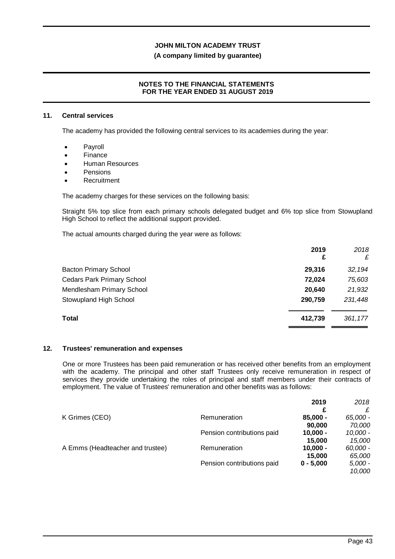## **(A company limited by guarantee)**

## **NOTES TO THE FINANCIAL STATEMENTS FOR THE YEAR ENDED 31 AUGUST 2019**

### **11. Central services**

The academy has provided the following central services to its academies during the year:

- · Payroll
- **Finance**
- Human Resources
- · Pensions
- **Recruitment**

The academy charges for these services on the following basis:

Straight 5% top slice from each primary schools delegated budget and 6% top slice from Stowupland High School to reflect the additional support provided.

The actual amounts charged during the year were as follows:

|                                   | 2019<br>£ | 2018<br>£ |
|-----------------------------------|-----------|-----------|
| <b>Bacton Primary School</b>      | 29,316    | 32,194    |
| <b>Cedars Park Primary School</b> | 72,024    | 75,603    |
| Mendlesham Primary School         | 20,640    | 21,932    |
| Stowupland High School            | 290,759   | 231,448   |
| Total                             | 412,739   | 361,177   |

## **12. Trustees' remuneration and expenses**

One or more Trustees has been paid remuneration or has received other benefits from an employment with the academy. The principal and other staff Trustees only receive remuneration in respect of services they provide undertaking the roles of principal and staff members under their contracts of employment. The value of Trustees' remuneration and other benefits was as follows:

|                                  |                            | 2019        | 2018       |
|----------------------------------|----------------------------|-------------|------------|
|                                  |                            | £           |            |
| K Grimes (CEO)                   | Remuneration               | $85,000 -$  | 65,000 -   |
|                                  |                            | 90,000      | 70.000     |
|                                  | Pension contributions paid | $10,000 -$  | $10,000 -$ |
|                                  |                            | 15,000      | 15.000     |
| A Emms (Headteacher and trustee) | Remuneration               | $10,000 -$  | 60,000 -   |
|                                  |                            | 15,000      | 65,000     |
|                                  | Pension contributions paid | $0 - 5.000$ | $5,000 -$  |
|                                  |                            |             | 10.000     |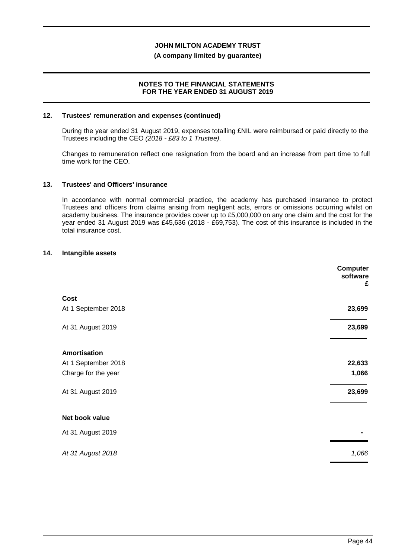#### **(A company limited by guarantee)**

### **NOTES TO THE FINANCIAL STATEMENTS FOR THE YEAR ENDED 31 AUGUST 2019**

#### **12. Trustees' remuneration and expenses (continued)**

During the year ended 31 August 2019, expenses totalling £NIL were reimbursed or paid directly to the Trustees including the CEO *(2018 - £83 to 1 Trustee)*.

Changes to remuneration reflect one resignation from the board and an increase from part time to full time work for the CEO.

#### **13. Trustees' and Officers' insurance**

In accordance with normal commercial practice, the academy has purchased insurance to protect Trustees and officers from claims arising from negligent acts, errors or omissions occurring whilst on academy business. The insurance provides cover up to £5,000,000 on any one claim and the cost for the year ended 31 August 2019 was £45,636 (2018 - £69,753). The cost of this insurance is included in the total insurance cost.

### **14. Intangible assets**

|                     | <b>Computer</b><br>software<br>£ |
|---------------------|----------------------------------|
| Cost                |                                  |
| At 1 September 2018 | 23,699                           |
| At 31 August 2019   | 23,699                           |
| <b>Amortisation</b> |                                  |
| At 1 September 2018 | 22,633                           |
| Charge for the year | 1,066                            |
| At 31 August 2019   | 23,699                           |
| Net book value      |                                  |
| At 31 August 2019   |                                  |
| At 31 August 2018   | 1,066                            |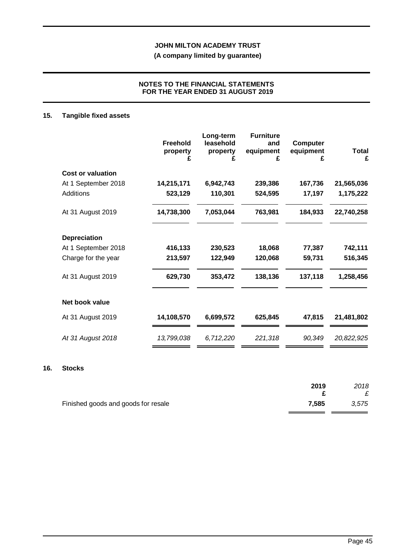## **(A company limited by guarantee)**

## **NOTES TO THE FINANCIAL STATEMENTS FOR THE YEAR ENDED 31 AUGUST 2019**

## **15. Tangible fixed assets**

|                          | <b>Freehold</b><br>property<br>£ | Long-term<br>leasehold<br>property<br>£ | <b>Furniture</b><br>and<br>equipment<br>£ | <b>Computer</b><br>equipment<br>£ | <b>Total</b><br>£ |
|--------------------------|----------------------------------|-----------------------------------------|-------------------------------------------|-----------------------------------|-------------------|
| <b>Cost or valuation</b> |                                  |                                         |                                           |                                   |                   |
| At 1 September 2018      | 14,215,171                       | 6,942,743                               | 239,386                                   | 167,736                           | 21,565,036        |
| <b>Additions</b>         | 523,129                          | 110,301                                 | 524,595                                   | 17,197                            | 1,175,222         |
| At 31 August 2019        | 14,738,300                       | 7,053,044                               | 763,981                                   | 184,933                           | 22,740,258        |
| <b>Depreciation</b>      |                                  |                                         |                                           |                                   |                   |
| At 1 September 2018      | 416,133                          | 230,523                                 | 18,068                                    | 77,387                            | 742,111           |
| Charge for the year      | 213,597                          | 122,949                                 | 120,068                                   | 59,731                            | 516,345           |
| At 31 August 2019        | 629,730                          | 353,472                                 | 138,136                                   | 137,118                           | 1,258,456         |
| Net book value           |                                  |                                         |                                           |                                   |                   |
| At 31 August 2019        | 14,108,570                       | 6,699,572                               | 625,845                                   | 47,815                            | 21,481,802        |
| At 31 August 2018        | 13,799,038                       | 6,712,220                               | 221,318                                   | 90,349                            | 20,822,925        |

## **16. Stocks**

|                                     | 2019  | 2018  |
|-------------------------------------|-------|-------|
|                                     |       |       |
| Finished goods and goods for resale | 7,585 | 3,575 |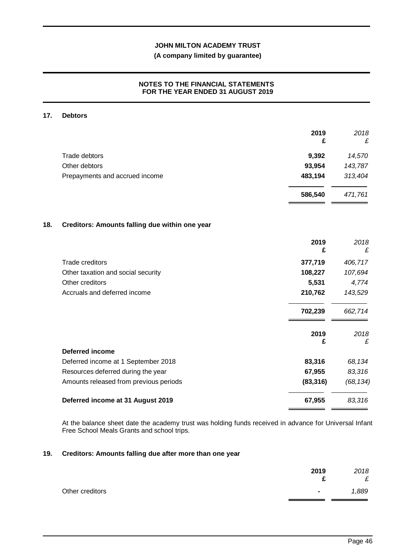## **(A company limited by guarantee)**

## **NOTES TO THE FINANCIAL STATEMENTS FOR THE YEAR ENDED 31 AUGUST 2019**

#### **17. Debtors**

|                                                       | 2019<br>£ | 2018<br>£ |
|-------------------------------------------------------|-----------|-----------|
| <b>Trade debtors</b>                                  | 9,392     | 14,570    |
| Other debtors                                         | 93,954    | 143,787   |
| Prepayments and accrued income                        | 483,194   | 313,404   |
|                                                       | 586,540   | 471,761   |
| Creditors: Amounts falling due within one year<br>18. |           |           |
|                                                       | 2019<br>£ | 2018<br>£ |
| <b>Trade creditors</b>                                | 377,719   | 406,717   |
| Other taxation and social security                    | 108,227   | 107,694   |
| Other creditors                                       | 5,531     | 4,774     |
| Accruals and deferred income                          | 210,762   | 143,529   |
|                                                       | 702,239   | 662,714   |
|                                                       | 2019      | 2018      |
|                                                       | £         | £         |
| <b>Deferred income</b>                                |           |           |
| Deferred income at 1 September 2018                   | 83,316    | 68,134    |
| Resources deferred during the year                    | 67,955    | 83,316    |
| Amounts released from previous periods                | (83, 316) | (68, 134) |

## At the balance sheet date the academy trust was holding funds received in advance for Universal Infant Free School Meals Grants and school trips.

**Deferred income at 31 August 2019 67,955** *83,316*

#### **19. Creditors: Amounts falling due after more than one year**

|                 | 2019<br>◠      | 2018<br>£ |
|-----------------|----------------|-----------|
| Other creditors | $\blacksquare$ | 1,889     |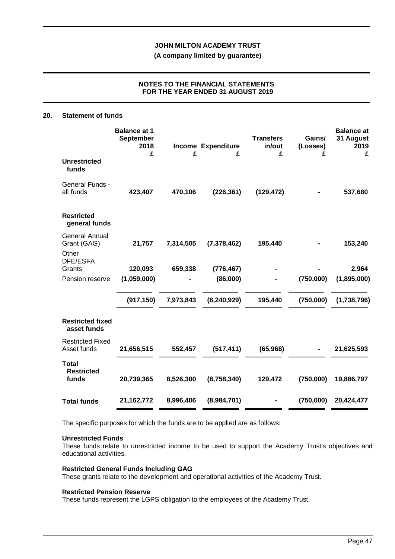**(A company limited by guarantee)**

## **NOTES TO THE FINANCIAL STATEMENTS FOR THE YEAR ENDED 31 AUGUST 2019**

#### **20. Statement of funds**

|                                               | <b>Balance at 1</b><br><b>September</b><br>2018<br>£ | £         | <b>Income Expenditure</b><br>£ | <b>Transfers</b><br>in/out<br>£ | Gains/<br>(Losses)<br>£ | <b>Balance at</b><br>31 August<br>2019<br>£ |
|-----------------------------------------------|------------------------------------------------------|-----------|--------------------------------|---------------------------------|-------------------------|---------------------------------------------|
| <b>Unrestricted</b><br>funds                  |                                                      |           |                                |                                 |                         |                                             |
| General Funds -<br>all funds                  | 423,407                                              | 470,106   | (226, 361)                     | (129, 472)                      |                         | 537,680                                     |
| <b>Restricted</b><br>general funds            |                                                      |           |                                |                                 |                         |                                             |
| <b>General Annual</b><br>Grant (GAG)<br>Other | 21,757                                               | 7,314,505 | (7, 378, 462)                  | 195,440                         |                         | 153,240                                     |
| DFE/ESFA<br>Grants                            | 120,093                                              | 659,338   | (776, 467)                     |                                 |                         | 2,964                                       |
| Pension reserve                               | (1,059,000)                                          |           | (86,000)                       |                                 | (750,000)               | (1,895,000)                                 |
|                                               | (917, 150)                                           | 7,973,843 | (8, 240, 929)                  | 195,440                         | (750,000)               | (1,738,796)                                 |
| <b>Restricted fixed</b><br>asset funds        |                                                      |           |                                |                                 |                         |                                             |
| <b>Restricted Fixed</b><br>Asset funds        | 21,656,515                                           | 552,457   | (517, 411)                     | (65, 968)                       |                         | 21,625,593                                  |
| <b>Total</b><br><b>Restricted</b><br>funds    | 20,739,365                                           | 8,526,300 | (8,758,340)                    | 129,472                         | (750,000)               | 19,886,797                                  |
| <b>Total funds</b>                            | 21, 162, 772                                         | 8,996,406 | (8,984,701)                    |                                 | (750,000)               | 20,424,477                                  |

The specific purposes for which the funds are to be applied are as follows:

#### **Unrestricted Funds**

These funds relate to unrestricted income to be used to support the Academy Trust's objectives and educational activities.

#### **Restricted General Funds Including GAG**

These grants relate to the development and operational activities of the Academy Trust.

#### **Restricted Pension Reserve**

These funds represent the LGPS obligation to the employees of the Academy Trust.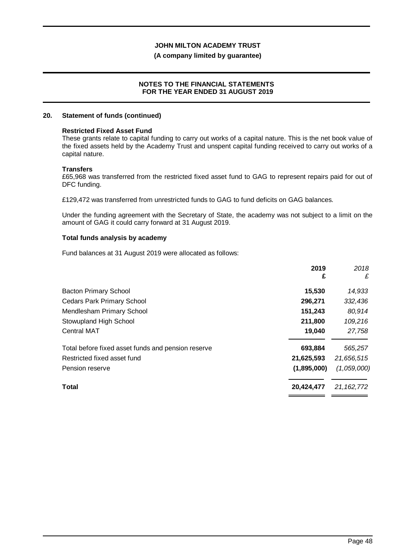#### **(A company limited by guarantee)**

#### **NOTES TO THE FINANCIAL STATEMENTS FOR THE YEAR ENDED 31 AUGUST 2019**

#### **20. Statement of funds (continued)**

#### **Restricted Fixed Asset Fund**

These grants relate to capital funding to carry out works of a capital nature. This is the net book value of the fixed assets held by the Academy Trust and unspent capital funding received to carry out works of a capital nature.

#### **Transfers**

£65,968 was transferred from the restricted fixed asset fund to GAG to represent repairs paid for out of DFC funding.

£129,472 was transferred from unrestricted funds to GAG to fund deficits on GAG balances.

Under the funding agreement with the Secretary of State, the academy was not subject to a limit on the amount of GAG it could carry forward at 31 August 2019.

## **Total funds analysis by academy**

Fund balances at 31 August 2019 were allocated as follows:

| 2019<br>£   | 2018<br>£    |
|-------------|--------------|
| 15,530      | 14,933       |
| 296,271     | 332,436      |
| 151,243     | 80,914       |
| 211,800     | 109,216      |
| 19,040      | 27,758       |
| 693,884     | 565,257      |
| 21,625,593  | 21,656,515   |
| (1,895,000) | (1,059,000)  |
| 20,424,477  | 21, 162, 772 |
|             |              |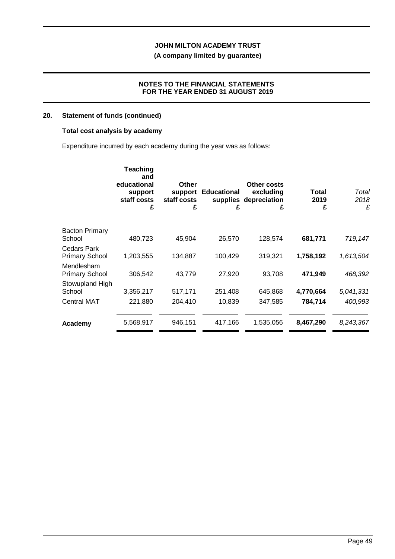**(A company limited by guarantee)**

## **NOTES TO THE FINANCIAL STATEMENTS FOR THE YEAR ENDED 31 AUGUST 2019**

## **20. Statement of funds (continued)**

## **Total cost analysis by academy**

Expenditure incurred by each academy during the year was as follows:

|                       | Teaching<br>and<br>educational<br>support<br>staff costs<br>£ | <b>Other</b><br>support<br>staff costs<br>£ | <b>Educational</b><br>£ | Other costs<br>excluding<br>supplies depreciation<br>£ | <b>Total</b><br>2019<br>£ | Total<br>2018<br>£ |
|-----------------------|---------------------------------------------------------------|---------------------------------------------|-------------------------|--------------------------------------------------------|---------------------------|--------------------|
| <b>Bacton Primary</b> |                                                               |                                             |                         |                                                        |                           |                    |
| School                | 480,723                                                       | 45,904                                      | 26,570                  | 128,574                                                | 681,771                   | 719,147            |
| Cedars Park           |                                                               |                                             |                         |                                                        |                           |                    |
| <b>Primary School</b> | 1,203,555                                                     | 134,887                                     | 100,429                 | 319,321                                                | 1,758,192                 | 1,613,504          |
| Mendlesham            |                                                               |                                             |                         |                                                        |                           |                    |
| <b>Primary School</b> | 306,542                                                       | 43,779                                      | 27,920                  | 93,708                                                 | 471,949                   | 468,392            |
| Stowupland High       |                                                               |                                             |                         |                                                        |                           |                    |
| School                | 3,356,217                                                     | 517,171                                     | 251,408                 | 645,868                                                | 4,770,664                 | 5,041,331          |
| <b>Central MAT</b>    | 221,880                                                       | 204,410                                     | 10,839                  | 347,585                                                | 784,714                   | 400,993            |
|                       |                                                               |                                             |                         |                                                        |                           |                    |
| Academy               | 5,568,917                                                     | 946,151                                     | 417,166                 | 1,535,056                                              | 8,467,290                 | 8,243,367          |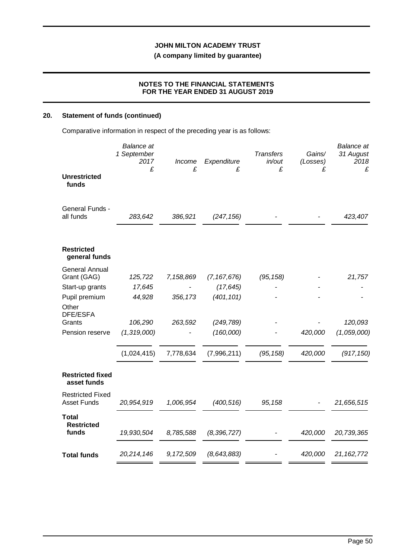**(A company limited by guarantee)**

## **NOTES TO THE FINANCIAL STATEMENTS FOR THE YEAR ENDED 31 AUGUST 2019**

## **20. Statement of funds (continued)**

Comparative information in respect of the preceding year is as follows:

|                                               | <b>Balance</b> at<br>1 September<br>2017<br>£ | Income<br>£ | Expenditure<br>£ | <b>Transfers</b><br>in/out<br>£ | Gains/<br>(Losses)<br>£ | <b>Balance</b> at<br>31 August<br>2018<br>£ |
|-----------------------------------------------|-----------------------------------------------|-------------|------------------|---------------------------------|-------------------------|---------------------------------------------|
| <b>Unrestricted</b><br>funds                  |                                               |             |                  |                                 |                         |                                             |
| General Funds -<br>all funds                  | 283,642                                       | 386,921     | (247, 156)       |                                 |                         | 423,407                                     |
| <b>Restricted</b><br>general funds            |                                               |             |                  |                                 |                         |                                             |
| <b>General Annual</b><br>Grant (GAG)          | 125,722                                       | 7,158,869   | (7, 167, 676)    | (95, 158)                       |                         | 21,757                                      |
| Start-up grants                               | 17,645                                        |             | (17, 645)        |                                 |                         |                                             |
| Pupil premium                                 | 44,928                                        | 356, 173    | (401, 101)       |                                 |                         |                                             |
| Other<br><b>DFE/ESFA</b>                      |                                               |             |                  |                                 |                         |                                             |
| Grants                                        | 106,290                                       | 263,592     | (249, 789)       |                                 |                         | 120,093                                     |
| Pension reserve                               | (1,319,000)                                   |             | (160,000)        |                                 | 420,000                 | (1,059,000)                                 |
|                                               | (1,024,415)                                   | 7,778,634   | (7,996,211)      | (95, 158)                       | 420,000                 | (917, 150)                                  |
| <b>Restricted fixed</b><br>asset funds        |                                               |             |                  |                                 |                         |                                             |
| <b>Restricted Fixed</b><br><b>Asset Funds</b> | 20,954,919                                    | 1,006,954   | (400, 516)       | 95,158                          |                         | 21,656,515                                  |
| <b>Total</b>                                  |                                               |             |                  |                                 |                         |                                             |
| <b>Restricted</b><br>funds                    | 19,930,504                                    | 8,785,588   | (8, 396, 727)    |                                 | 420,000                 | 20,739,365                                  |
| <b>Total funds</b>                            | 20,214,146                                    | 9,172,509   | (8, 643, 883)    |                                 | 420,000                 | 21, 162, 772                                |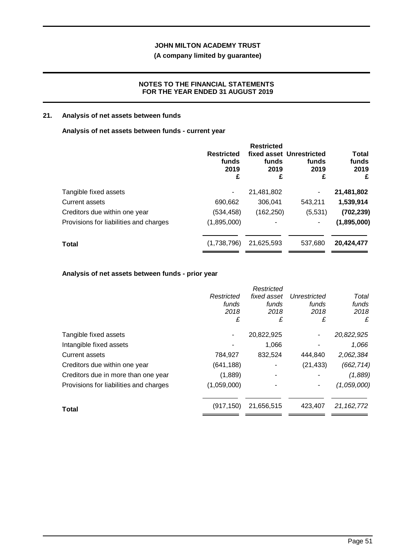## **(A company limited by guarantee)**

## **NOTES TO THE FINANCIAL STATEMENTS FOR THE YEAR ENDED 31 AUGUST 2019**

## **21. Analysis of net assets between funds**

### **Analysis of net assets between funds - current year**

|                                        | <b>Restricted</b><br>funds<br>2019<br>£ | <b>Restricted</b><br>funds<br>2019<br>£ | fixed asset Unrestricted<br>funds<br>2019<br>£ | Total<br>funds<br>2019<br>£ |
|----------------------------------------|-----------------------------------------|-----------------------------------------|------------------------------------------------|-----------------------------|
| Tangible fixed assets                  | ۰                                       | 21,481,802                              | ۰                                              | 21,481,802                  |
| Current assets                         | 690,662                                 | 306.041                                 | 543,211                                        | 1,539,914                   |
| Creditors due within one year          | (534, 458)                              | (162, 250)                              | (5,531)                                        | (702, 239)                  |
| Provisions for liabilities and charges | (1,895,000)                             |                                         |                                                | (1,895,000)                 |
| <b>Total</b>                           | (1,738,796)                             | 21,625,593                              | 537,680                                        | 20,424,477                  |

## **Analysis of net assets between funds - prior year**

|                                        |             | Restricted  |              |              |
|----------------------------------------|-------------|-------------|--------------|--------------|
|                                        | Restricted  | fixed asset | Unrestricted | Total        |
|                                        | funds       | funds       | funds        | funds        |
|                                        | 2018        | 2018        | 2018         | 2018         |
|                                        | £           | £           | £            | £            |
| Tangible fixed assets                  |             | 20,822,925  | ۰            | 20,822,925   |
| Intangible fixed assets                |             | 1,066       |              | 1,066        |
| Current assets                         | 784,927     | 832,524     | 444,840      | 2,062,384    |
| Creditors due within one year          | (641, 188)  |             | (21, 433)    | (662, 714)   |
| Creditors due in more than one year    | (1,889)     |             |              | (1,889)      |
| Provisions for liabilities and charges | (1,059,000) |             |              | (1,059,000)  |
| <b>Total</b>                           | (917, 150)  | 21,656,515  | 423.407      | 21, 162, 772 |
|                                        |             |             |              |              |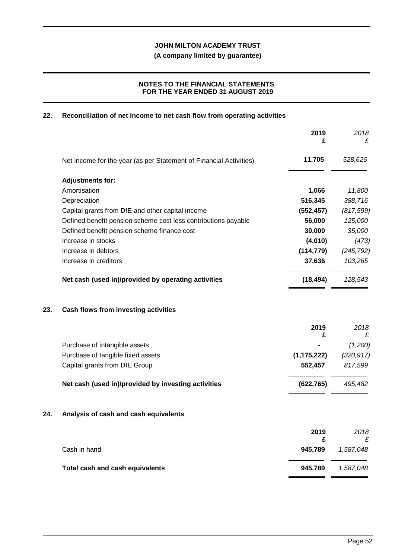**(A company limited by guarantee)**

## **NOTES TO THE FINANCIAL STATEMENTS FOR THE YEAR ENDED 31 AUGUST 2019**

## **22. Reconciliation of net income to net cash flow from operating activities**

|     |                                                                    | 2019<br>£     | 2018<br>£      |
|-----|--------------------------------------------------------------------|---------------|----------------|
|     | Net income for the year (as per Statement of Financial Activities) | 11,705        | 528,626        |
|     | <b>Adjustments for:</b>                                            |               |                |
|     | Amortisation                                                       | 1,066         | 11,800         |
|     | Depreciation                                                       | 516,345       | 388,716        |
|     | Capital grants from DfE and other capital income                   | (552, 457)    | (817, 599)     |
|     | Defined benefit pension scheme cost less contributions payable     | 56,000        | 125,000        |
|     | Defined benefit pension scheme finance cost                        | 30,000        | 35,000         |
|     | Increase in stocks                                                 | (4,010)       | (473)          |
|     | Increase in debtors                                                | (114, 779)    | (245, 792)     |
|     | Increase in creditors                                              | 37,636        | 103,265        |
|     | Net cash (used in)/provided by operating activities                | (18, 494)     | 128,543        |
| 23. | Cash flows from investing activities                               |               |                |
|     |                                                                    | 2019<br>£     | 2018<br>£      |
|     | Purchase of intangible assets                                      |               | (1,200)        |
|     | Purchase of tangible fixed assets                                  | (1, 175, 222) | (320, 917)     |
|     | Capital grants from DfE Group                                      | 552,457       | 817,599        |
|     | Net cash (used in)/provided by investing activities                | (622, 765)    | 495,482        |
| 24. | Analysis of cash and cash equivalents                              |               |                |
|     |                                                                    | 2019<br>£     | 2018           |
|     | Cash in hand                                                       | 945,789       | £<br>1,587,048 |
|     | Total cash and cash equivalents                                    | 945,789       | 1,587,048      |
|     |                                                                    |               |                |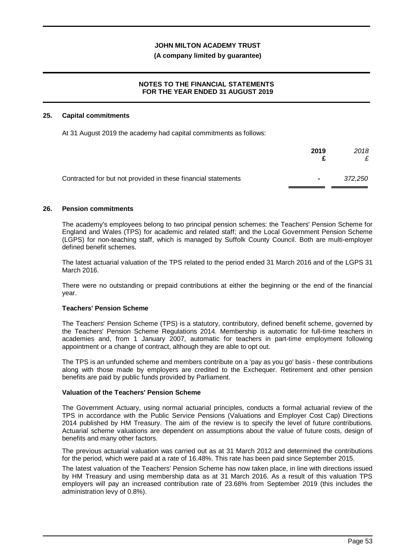### **(A company limited by guarantee)**

## **NOTES TO THE FINANCIAL STATEMENTS FOR THE YEAR ENDED 31 AUGUST 2019**

#### **25. Capital commitments**

At 31 August 2019 the academy had capital commitments as follows:

|                                                               | 2019           | 2018    |
|---------------------------------------------------------------|----------------|---------|
| Contracted for but not provided in these financial statements | $\blacksquare$ | 372.250 |

#### **26. Pension commitments**

The academy's employees belong to two principal pension schemes: the Teachers' Pension Scheme for England and Wales (TPS) for academic and related staff; and the Local Government Pension Scheme (LGPS) for non-teaching staff, which is managed by Suffolk County Council. Both are multi-employer defined benefit schemes.

The latest actuarial valuation of the TPS related to the period ended 31 March 2016 and of the LGPS 31 March 2016.

There were no outstanding or prepaid contributions at either the beginning or the end of the financial year.

## **Teachers' Pension Scheme**

The Teachers' Pension Scheme (TPS) is a statutory, contributory, defined benefit scheme, governed by the Teachers' Pension Scheme Regulations 2014. Membership is automatic for full-time teachers in academies and, from 1 January 2007, automatic for teachers in part-time employment following appointment or a change of contract, although they are able to opt out.

The TPS is an unfunded scheme and members contribute on a 'pay as you go' basis - these contributions along with those made by employers are credited to the Exchequer. Retirement and other pension benefits are paid by public funds provided by Parliament.

## **Valuation of the Teachers' Pension Scheme**

The Government Actuary, using normal actuarial principles, conducts a formal actuarial review of the TPS in accordance with the Public Service Pensions (Valuations and Employer Cost Cap) Directions 2014 published by HM Treasury. The aim of the review is to specify the level of future contributions. Actuarial scheme valuations are dependent on assumptions about the value of future costs, design of benefits and many other factors.

The previous actuarial valuation was carried out as at 31 March 2012 and determined the contributions for the period, which were paid at a rate of 16.48%. This rate has been paid since September 2015.

The latest valuation of the Teachers' Pension Scheme has now taken place, in line with directions issued by HM Treasury and using membership data as at 31 March 2016. As a result of this valuation TPS employers will pay an increased contribution rate of 23.68% from September 2019 (this includes the administration levy of 0.8%).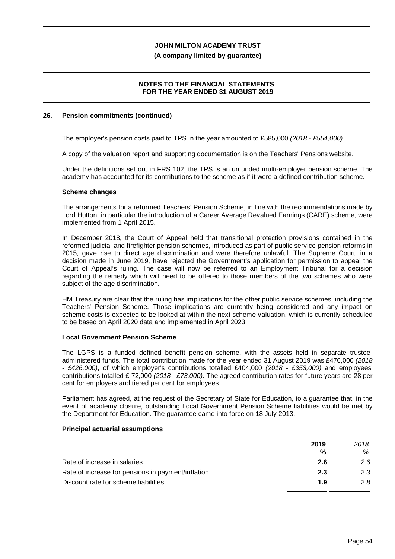#### **(A company limited by guarantee)**

### **NOTES TO THE FINANCIAL STATEMENTS FOR THE YEAR ENDED 31 AUGUST 2019**

#### **26. Pension commitments (continued)**

The employer's pension costs paid to TPS in the year amounted to £585,000 *(2018 - £554,000)*.

A copy of the valuation report and supporting documentation is on the Teachers' Pensions website.

Under the definitions set out in FRS 102, the TPS is an unfunded multi-employer pension scheme. The academy has accounted for its contributions to the scheme as if it were a defined contribution scheme.

#### **Scheme changes**

The arrangements for a reformed Teachers' Pension Scheme, in line with the recommendations made by Lord Hutton, in particular the introduction of a Career Average Revalued Earnings (CARE) scheme, were implemented from 1 April 2015.

In December 2018, the Court of Appeal held that transitional protection provisions contained in the reformed judicial and firefighter pension schemes, introduced as part of public service pension reforms in 2015, gave rise to direct age discrimination and were therefore unlawful. The Supreme Court, in a decision made in June 2019, have rejected the Government's application for permission to appeal the Court of Appeal's ruling. The case will now be referred to an Employment Tribunal for a decision regarding the remedy which will need to be offered to those members of the two schemes who were subject of the age discrimination.

HM Treasury are clear that the ruling has implications for the other public service schemes, including the Teachers' Pension Scheme. Those implications are currently being considered and any impact on scheme costs is expected to be looked at within the next scheme valuation, which is currently scheduled to be based on April 2020 data and implemented in April 2023.

#### **Local Government Pension Scheme**

The LGPS is a funded defined benefit pension scheme, with the assets held in separate trusteeadministered funds. The total contribution made for the year ended 31 August 2019 was £476,000 *(2018 - £426,000)*, of which employer's contributions totalled £404,000 *(2018 - £353,000)* and employees' contributions totalled £ 72,000 *(2018 - £73,000)*. The agreed contribution rates for future years are 28 per cent for employers and tiered per cent for employees.

Parliament has agreed, at the request of the Secretary of State for Education, to a guarantee that, in the event of academy closure, outstanding Local Government Pension Scheme liabilities would be met by the Department for Education. The guarantee came into force on 18 July 2013.

#### **Principal actuarial assumptions**

|                                                    | 2019 | 2018 |
|----------------------------------------------------|------|------|
|                                                    | %    | ℅    |
| Rate of increase in salaries                       | 2.6  | 2.6  |
| Rate of increase for pensions in payment/inflation | 2.3  | 2.3  |
| Discount rate for scheme liabilities               | 1.9  | 2.8  |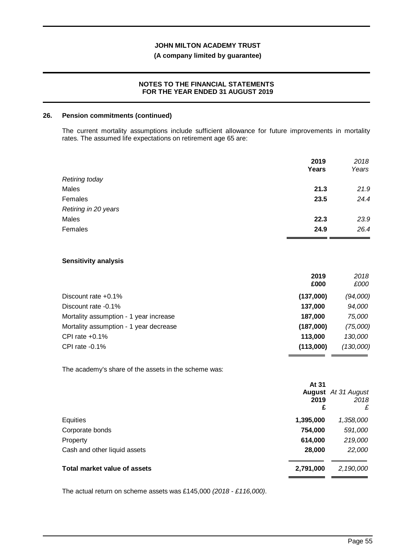## **(A company limited by guarantee)**

### **NOTES TO THE FINANCIAL STATEMENTS FOR THE YEAR ENDED 31 AUGUST 2019**

#### **26. Pension commitments (continued)**

The current mortality assumptions include sufficient allowance for future improvements in mortality rates. The assumed life expectations on retirement age 65 are:

|                       | 2019<br>Years | 2018<br>Years |
|-----------------------|---------------|---------------|
| <b>Retiring today</b> |               |               |
| Males                 | 21.3          | 21.9          |
| Females               | 23.5          | 24.4          |
| Retiring in 20 years  |               |               |
| Males                 | 22.3          | 23.9          |
| Females               | 24.9          | 26.4          |

## **Sensitivity analysis**

|                                        | 2019<br>£000 | 2018<br>£000 |
|----------------------------------------|--------------|--------------|
| Discount rate $+0.1\%$                 | (137,000)    | (94,000)     |
| Discount rate -0.1%                    | 137,000      | 94,000       |
| Mortality assumption - 1 year increase | 187.000      | 75.000       |
| Mortality assumption - 1 year decrease | (187,000)    | (75,000)     |
| CPI rate $+0.1\%$                      | 113,000      | 130,000      |
| CPI rate $-0.1\%$                      | (113,000)    | (130,000)    |

The academy's share of the assets in the scheme was:

| At 31<br>2019                             | <b>August</b> At 31 August<br>2018<br>£<br>£ |
|-------------------------------------------|----------------------------------------------|
| Equities<br>1,395,000                     | 1,358,000                                    |
| Corporate bonds<br>754,000                | 591,000                                      |
| 614,000<br>Property                       | 219,000                                      |
| Cash and other liquid assets<br>28,000    | 22,000                                       |
| Total market value of assets<br>2,791,000 | 2,190,000                                    |

The actual return on scheme assets was £145,000 *(2018 - £116,000)*.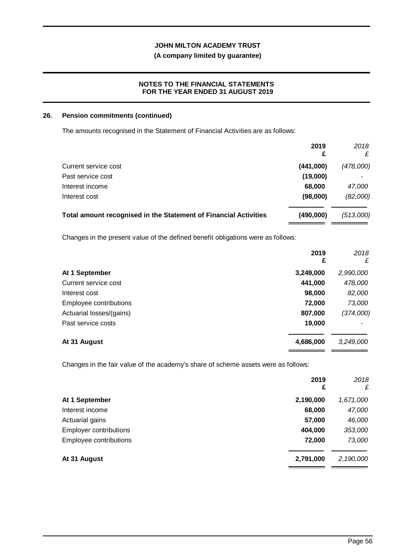## **(A company limited by guarantee)**

## **NOTES TO THE FINANCIAL STATEMENTS FOR THE YEAR ENDED 31 AUGUST 2019**

#### **26. Pension commitments (continued)**

The amounts recognised in the Statement of Financial Activities are as follows:

|                                                                  | 2019<br>£ | 2018<br>£ |
|------------------------------------------------------------------|-----------|-----------|
| Current service cost                                             | (441,000) | (478,000) |
| Past service cost                                                | (19,000)  |           |
| Interest income                                                  | 68,000    | 47,000    |
| Interest cost                                                    | (98,000)  | (82,000)  |
| Total amount recognised in the Statement of Financial Activities | (490,000) | (513,000) |

Changes in the present value of the defined benefit obligations were as follows:

|                          | 2019<br>£ | 2018<br>£ |
|--------------------------|-----------|-----------|
| At 1 September           | 3,249,000 | 2,990,000 |
| Current service cost     | 441,000   | 478,000   |
| Interest cost            | 98,000    | 82,000    |
| Employee contributions   | 72,000    | 73,000    |
| Actuarial losses/(gains) | 807,000   | (374,000) |
| Past service costs       | 19,000    |           |
| At 31 August             | 4,686,000 | 3,249,000 |

Changes in the fair value of the academy's share of scheme assets were as follows:

|                               | 2019<br>£ | 2018<br>£ |
|-------------------------------|-----------|-----------|
| At 1 September                | 2,190,000 | 1,671,000 |
| Interest income               | 68,000    | 47,000    |
| Actuarial gains               | 57,000    | 46,000    |
| <b>Employer contributions</b> | 404,000   | 353,000   |
| Employee contributions        | 72,000    | 73,000    |
| At 31 August                  | 2,791,000 | 2,190,000 |
|                               |           |           |